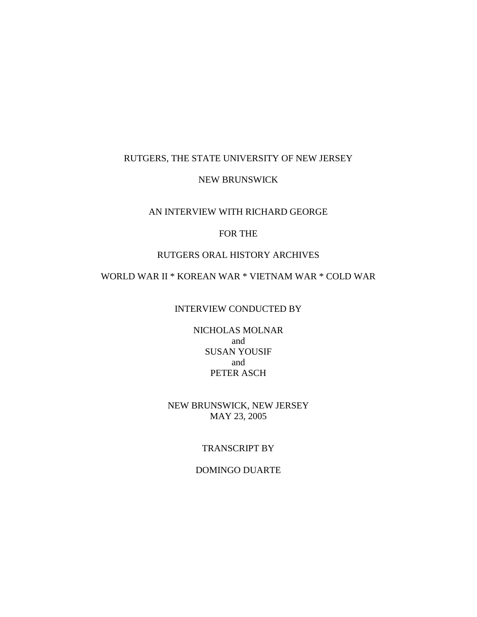### RUTGERS, THE STATE UNIVERSITY OF NEW JERSEY

### NEW BRUNSWICK

### AN INTERVIEW WITH RICHARD GEORGE

# FOR THE

### RUTGERS ORAL HISTORY ARCHIVES

# WORLD WAR II \* KOREAN WAR \* VIETNAM WAR \* COLD WAR

#### INTERVIEW CONDUCTED BY

NICHOLAS MOLNAR and SUSAN YOUSIF and PETER ASCH

### NEW BRUNSWICK, NEW JERSEY MAY 23, 2005

### TRANSCRIPT BY

### DOMINGO DUARTE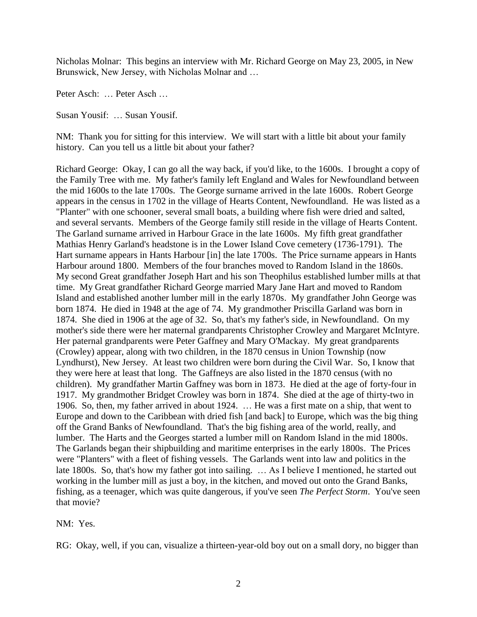Nicholas Molnar: This begins an interview with Mr. Richard George on May 23, 2005, in New Brunswick, New Jersey, with Nicholas Molnar and …

Peter Asch: … Peter Asch …

Susan Yousif: … Susan Yousif.

NM: Thank you for sitting for this interview. We will start with a little bit about your family history. Can you tell us a little bit about your father?

Richard George: Okay, I can go all the way back, if you'd like, to the 1600s. I brought a copy of the Family Tree with me. My father's family left England and Wales for Newfoundland between the mid 1600s to the late 1700s. The George surname arrived in the late 1600s. Robert George appears in the census in 1702 in the village of Hearts Content, Newfoundland. He was listed as a "Planter" with one schooner, several small boats, a building where fish were dried and salted, and several servants. Members of the George family still reside in the village of Hearts Content. The Garland surname arrived in Harbour Grace in the late 1600s. My fifth great grandfather Mathias Henry Garland's headstone is in the Lower Island Cove cemetery (1736-1791). The Hart surname appears in Hants Harbour [in] the late 1700s. The Price surname appears in Hants Harbour around 1800. Members of the four branches moved to Random Island in the 1860s. My second Great grandfather Joseph Hart and his son Theophilus established lumber mills at that time. My Great grandfather Richard George married Mary Jane Hart and moved to Random Island and established another lumber mill in the early 1870s. My grandfather John George was born 1874. He died in 1948 at the age of 74. My grandmother Priscilla Garland was born in 1874. She died in 1906 at the age of 32. So, that's my father's side, in Newfoundland. On my mother's side there were her maternal grandparents Christopher Crowley and Margaret McIntyre. Her paternal grandparents were Peter Gaffney and Mary O'Mackay. My great grandparents (Crowley) appear, along with two children, in the 1870 census in Union Township (now Lyndhurst), New Jersey. At least two children were born during the Civil War. So, I know that they were here at least that long. The Gaffneys are also listed in the 1870 census (with no children). My grandfather Martin Gaffney was born in 1873. He died at the age of forty-four in 1917. My grandmother Bridget Crowley was born in 1874. She died at the age of thirty-two in 1906. So, then, my father arrived in about 1924. … He was a first mate on a ship, that went to Europe and down to the Caribbean with dried fish [and back] to Europe, which was the big thing off the Grand Banks of Newfoundland. That's the big fishing area of the world, really, and lumber. The Harts and the Georges started a lumber mill on Random Island in the mid 1800s. The Garlands began their shipbuilding and maritime enterprises in the early 1800s. The Prices were "Planters" with a fleet of fishing vessels. The Garlands went into law and politics in the late 1800s. So, that's how my father got into sailing. … As I believe I mentioned, he started out working in the lumber mill as just a boy, in the kitchen, and moved out onto the Grand Banks, fishing, as a teenager, which was quite dangerous, if you've seen *The Perfect Storm*. You've seen that movie?

NM: Yes.

RG: Okay, well, if you can, visualize a thirteen-year-old boy out on a small dory, no bigger than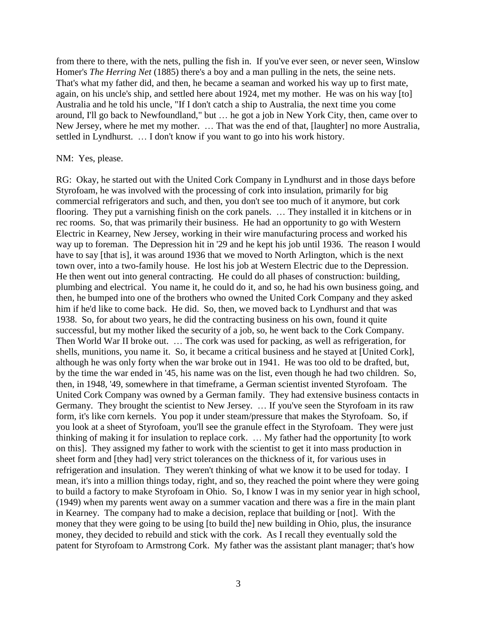from there to there, with the nets, pulling the fish in. If you've ever seen, or never seen, Winslow Homer's *The Herring Net* (1885) there's a boy and a man pulling in the nets, the seine nets. That's what my father did, and then, he became a seaman and worked his way up to first mate, again, on his uncle's ship, and settled here about 1924, met my mother. He was on his way [to] Australia and he told his uncle, "If I don't catch a ship to Australia, the next time you come around, I'll go back to Newfoundland," but … he got a job in New York City, then, came over to New Jersey, where he met my mother. … That was the end of that, [laughter] no more Australia, settled in Lyndhurst. … I don't know if you want to go into his work history.

#### NM: Yes, please.

RG: Okay, he started out with the United Cork Company in Lyndhurst and in those days before Styrofoam, he was involved with the processing of cork into insulation, primarily for big commercial refrigerators and such, and then, you don't see too much of it anymore, but cork flooring. They put a varnishing finish on the cork panels. … They installed it in kitchens or in rec rooms. So, that was primarily their business. He had an opportunity to go with Western Electric in Kearney, New Jersey, working in their wire manufacturing process and worked his way up to foreman. The Depression hit in '29 and he kept his job until 1936. The reason I would have to say [that is], it was around 1936 that we moved to North Arlington, which is the next town over, into a two-family house. He lost his job at Western Electric due to the Depression. He then went out into general contracting. He could do all phases of construction: building, plumbing and electrical. You name it, he could do it, and so, he had his own business going, and then, he bumped into one of the brothers who owned the United Cork Company and they asked him if he'd like to come back. He did. So, then, we moved back to Lyndhurst and that was 1938. So, for about two years, he did the contracting business on his own, found it quite successful, but my mother liked the security of a job, so, he went back to the Cork Company. Then World War II broke out. … The cork was used for packing, as well as refrigeration, for shells, munitions, you name it. So, it became a critical business and he stayed at [United Cork], although he was only forty when the war broke out in 1941. He was too old to be drafted, but, by the time the war ended in '45, his name was on the list, even though he had two children. So, then, in 1948, '49, somewhere in that timeframe, a German scientist invented Styrofoam. The United Cork Company was owned by a German family. They had extensive business contacts in Germany. They brought the scientist to New Jersey. … If you've seen the Styrofoam in its raw form, it's like corn kernels. You pop it under steam/pressure that makes the Styrofoam. So, if you look at a sheet of Styrofoam, you'll see the granule effect in the Styrofoam. They were just thinking of making it for insulation to replace cork. … My father had the opportunity [to work on this]. They assigned my father to work with the scientist to get it into mass production in sheet form and [they had] very strict tolerances on the thickness of it, for various uses in refrigeration and insulation. They weren't thinking of what we know it to be used for today. I mean, it's into a million things today, right, and so, they reached the point where they were going to build a factory to make Styrofoam in Ohio. So, I know I was in my senior year in high school, (1949) when my parents went away on a summer vacation and there was a fire in the main plant in Kearney. The company had to make a decision, replace that building or [not]. With the money that they were going to be using [to build the] new building in Ohio, plus, the insurance money, they decided to rebuild and stick with the cork. As I recall they eventually sold the patent for Styrofoam to Armstrong Cork. My father was the assistant plant manager; that's how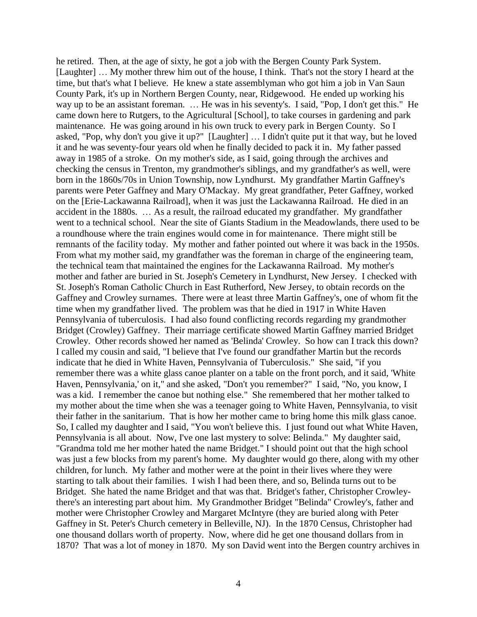he retired. Then, at the age of sixty, he got a job with the Bergen County Park System. [Laughter] … My mother threw him out of the house, I think. That's not the story I heard at the time, but that's what I believe. He knew a state assemblyman who got him a job in Van Saun County Park, it's up in Northern Bergen County, near, Ridgewood. He ended up working his way up to be an assistant foreman. … He was in his seventy's. I said, "Pop, I don't get this." He came down here to Rutgers, to the Agricultural [School], to take courses in gardening and park maintenance. He was going around in his own truck to every park in Bergen County. So I asked, "Pop, why don't you give it up?" [Laughter] … I didn't quite put it that way, but he loved it and he was seventy-four years old when he finally decided to pack it in. My father passed away in 1985 of a stroke. On my mother's side, as I said, going through the archives and checking the census in Trenton, my grandmother's siblings, and my grandfather's as well, were born in the 1860s/70s in Union Township, now Lyndhurst. My grandfather Martin Gaffney's parents were Peter Gaffney and Mary O'Mackay. My great grandfather, Peter Gaffney, worked on the [Erie-Lackawanna Railroad], when it was just the Lackawanna Railroad. He died in an accident in the 1880s. … As a result, the railroad educated my grandfather. My grandfather went to a technical school. Near the site of Giants Stadium in the Meadowlands, there used to be a roundhouse where the train engines would come in for maintenance. There might still be remnants of the facility today. My mother and father pointed out where it was back in the 1950s. From what my mother said, my grandfather was the foreman in charge of the engineering team, the technical team that maintained the engines for the Lackawanna Railroad. My mother's mother and father are buried in St. Joseph's Cemetery in Lyndhurst, New Jersey. I checked with St. Joseph's Roman Catholic Church in East Rutherford, New Jersey, to obtain records on the Gaffney and Crowley surnames. There were at least three Martin Gaffney's, one of whom fit the time when my grandfather lived. The problem was that he died in 1917 in White Haven Pennsylvania of tuberculosis. I had also found conflicting records regarding my grandmother Bridget (Crowley) Gaffney. Their marriage certificate showed Martin Gaffney married Bridget Crowley. Other records showed her named as 'Belinda' Crowley. So how can I track this down? I called my cousin and said, "I believe that I've found our grandfather Martin but the records indicate that he died in White Haven, Pennsylvania of Tuberculosis." She said, "if you remember there was a white glass canoe planter on a table on the front porch, and it said, 'White Haven, Pennsylvania,' on it," and she asked, "Don't you remember?" I said, "No, you know, I was a kid. I remember the canoe but nothing else." She remembered that her mother talked to my mother about the time when she was a teenager going to White Haven, Pennsylvania, to visit their father in the sanitarium. That is how her mother came to bring home this milk glass canoe. So, I called my daughter and I said, "You won't believe this. I just found out what White Haven, Pennsylvania is all about. Now, I've one last mystery to solve: Belinda." My daughter said, "Grandma told me her mother hated the name Bridget." I should point out that the high school was just a few blocks from my parent's home. My daughter would go there, along with my other children, for lunch. My father and mother were at the point in their lives where they were starting to talk about their families. I wish I had been there, and so, Belinda turns out to be Bridget. She hated the name Bridget and that was that. Bridget's father, Christopher Crowleythere's an interesting part about him. My Grandmother Bridget "Belinda" Crowley's, father and mother were Christopher Crowley and Margaret McIntyre (they are buried along with Peter Gaffney in St. Peter's Church cemetery in Belleville, NJ). In the 1870 Census, Christopher had one thousand dollars worth of property. Now, where did he get one thousand dollars from in 1870? That was a lot of money in 1870. My son David went into the Bergen country archives in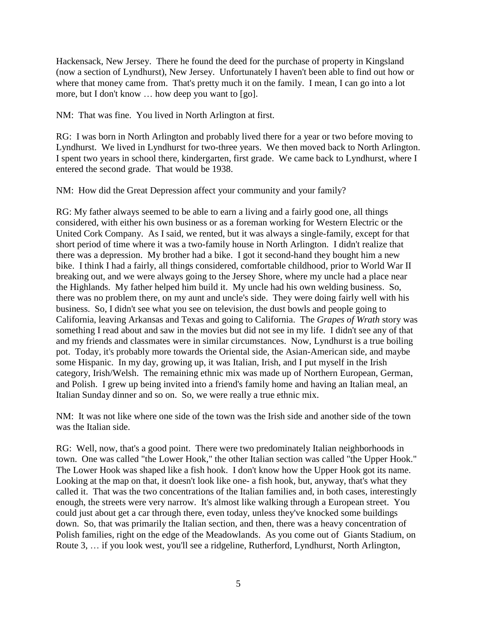Hackensack, New Jersey. There he found the deed for the purchase of property in Kingsland (now a section of Lyndhurst), New Jersey. Unfortunately I haven't been able to find out how or where that money came from. That's pretty much it on the family. I mean, I can go into a lot more, but I don't know … how deep you want to [go].

NM: That was fine. You lived in North Arlington at first.

RG: I was born in North Arlington and probably lived there for a year or two before moving to Lyndhurst. We lived in Lyndhurst for two-three years. We then moved back to North Arlington. I spent two years in school there, kindergarten, first grade. We came back to Lyndhurst, where I entered the second grade. That would be 1938.

NM: How did the Great Depression affect your community and your family?

RG: My father always seemed to be able to earn a living and a fairly good one, all things considered, with either his own business or as a foreman working for Western Electric or the United Cork Company. As I said, we rented, but it was always a single-family, except for that short period of time where it was a two-family house in North Arlington. I didn't realize that there was a depression. My brother had a bike. I got it second-hand they bought him a new bike. I think I had a fairly, all things considered, comfortable childhood, prior to World War II breaking out, and we were always going to the Jersey Shore, where my uncle had a place near the Highlands. My father helped him build it. My uncle had his own welding business. So, there was no problem there, on my aunt and uncle's side. They were doing fairly well with his business. So, I didn't see what you see on television, the dust bowls and people going to California, leaving Arkansas and Texas and going to California. The *Grapes of Wrath* story was something I read about and saw in the movies but did not see in my life. I didn't see any of that and my friends and classmates were in similar circumstances. Now, Lyndhurst is a true boiling pot. Today, it's probably more towards the Oriental side, the Asian-American side, and maybe some Hispanic. In my day, growing up, it was Italian, Irish, and I put myself in the Irish category, Irish/Welsh. The remaining ethnic mix was made up of Northern European, German, and Polish. I grew up being invited into a friend's family home and having an Italian meal, an Italian Sunday dinner and so on. So, we were really a true ethnic mix.

NM: It was not like where one side of the town was the Irish side and another side of the town was the Italian side.

RG: Well, now, that's a good point. There were two predominately Italian neighborhoods in town. One was called "the Lower Hook," the other Italian section was called "the Upper Hook." The Lower Hook was shaped like a fish hook. I don't know how the Upper Hook got its name. Looking at the map on that, it doesn't look like one- a fish hook, but, anyway, that's what they called it. That was the two concentrations of the Italian families and, in both cases, interestingly enough, the streets were very narrow. It's almost like walking through a European street. You could just about get a car through there, even today, unless they've knocked some buildings down. So, that was primarily the Italian section, and then, there was a heavy concentration of Polish families, right on the edge of the Meadowlands. As you come out of Giants Stadium, on Route 3, … if you look west, you'll see a ridgeline, Rutherford, Lyndhurst, North Arlington,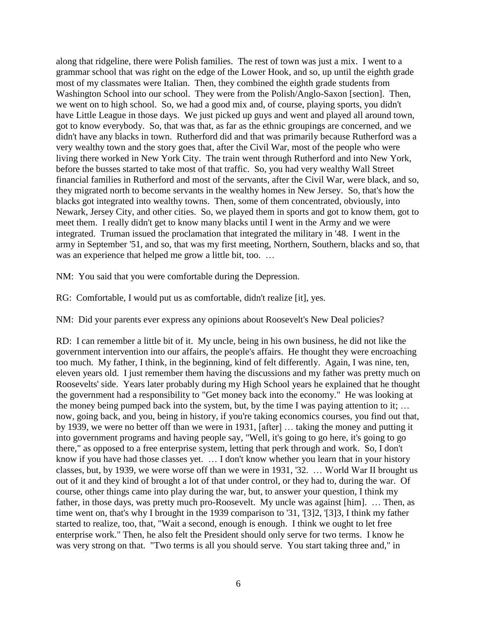along that ridgeline, there were Polish families. The rest of town was just a mix. I went to a grammar school that was right on the edge of the Lower Hook, and so, up until the eighth grade most of my classmates were Italian. Then, they combined the eighth grade students from Washington School into our school. They were from the Polish/Anglo-Saxon [section]. Then, we went on to high school. So, we had a good mix and, of course, playing sports, you didn't have Little League in those days. We just picked up guys and went and played all around town, got to know everybody. So, that was that, as far as the ethnic groupings are concerned, and we didn't have any blacks in town. Rutherford did and that was primarily because Rutherford was a very wealthy town and the story goes that, after the Civil War, most of the people who were living there worked in New York City. The train went through Rutherford and into New York, before the busses started to take most of that traffic. So, you had very wealthy Wall Street financial families in Rutherford and most of the servants, after the Civil War, were black, and so, they migrated north to become servants in the wealthy homes in New Jersey. So, that's how the blacks got integrated into wealthy towns. Then, some of them concentrated, obviously, into Newark, Jersey City, and other cities. So, we played them in sports and got to know them, got to meet them. I really didn't get to know many blacks until I went in the Army and we were integrated. Truman issued the proclamation that integrated the military in '48. I went in the army in September '51, and so, that was my first meeting, Northern, Southern, blacks and so, that was an experience that helped me grow a little bit, too. ...

NM: You said that you were comfortable during the Depression.

RG: Comfortable, I would put us as comfortable, didn't realize [it], yes.

NM: Did your parents ever express any opinions about Roosevelt's New Deal policies?

RD: I can remember a little bit of it. My uncle, being in his own business, he did not like the government intervention into our affairs, the people's affairs. He thought they were encroaching too much. My father, I think, in the beginning, kind of felt differently. Again, I was nine, ten, eleven years old. I just remember them having the discussions and my father was pretty much on Roosevelts' side. Years later probably during my High School years he explained that he thought the government had a responsibility to "Get money back into the economy." He was looking at the money being pumped back into the system, but, by the time I was paying attention to it; … now, going back, and you, being in history, if you're taking economics courses, you find out that, by 1939, we were no better off than we were in 1931, [after] … taking the money and putting it into government programs and having people say, "Well, it's going to go here, it's going to go there," as opposed to a free enterprise system, letting that perk through and work. So, I don't know if you have had those classes yet. … I don't know whether you learn that in your history classes, but, by 1939, we were worse off than we were in 1931, '32. … World War II brought us out of it and they kind of brought a lot of that under control, or they had to, during the war. Of course, other things came into play during the war, but, to answer your question, I think my father, in those days, was pretty much pro-Roosevelt. My uncle was against [him]. ... Then, as time went on, that's why I brought in the 1939 comparison to '31, '[3]2, '[3]3, I think my father started to realize, too, that, "Wait a second, enough is enough. I think we ought to let free enterprise work." Then, he also felt the President should only serve for two terms. I know he was very strong on that. "Two terms is all you should serve. You start taking three and," in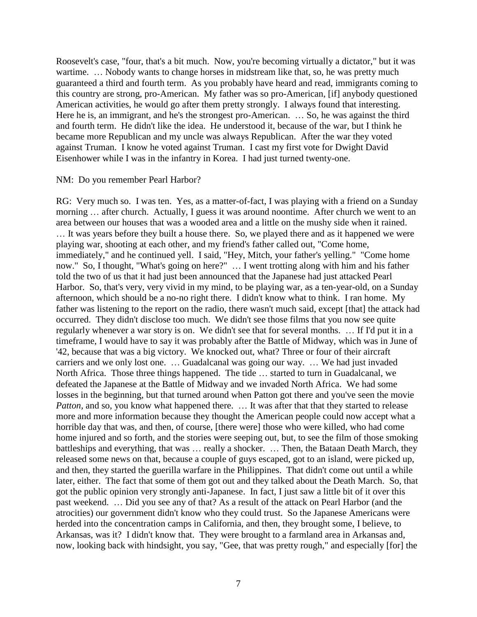Roosevelt's case, "four, that's a bit much. Now, you're becoming virtually a dictator," but it was wartime. ... Nobody wants to change horses in midstream like that, so, he was pretty much guaranteed a third and fourth term. As you probably have heard and read, immigrants coming to this country are strong, pro-American. My father was so pro-American, [if] anybody questioned American activities, he would go after them pretty strongly. I always found that interesting. Here he is, an immigrant, and he's the strongest pro-American. ... So, he was against the third and fourth term. He didn't like the idea. He understood it, because of the war, but I think he became more Republican and my uncle was always Republican. After the war they voted against Truman. I know he voted against Truman. I cast my first vote for Dwight David Eisenhower while I was in the infantry in Korea. I had just turned twenty-one.

#### NM: Do you remember Pearl Harbor?

RG: Very much so. I was ten. Yes, as a matter-of-fact, I was playing with a friend on a Sunday morning … after church. Actually, I guess it was around noontime. After church we went to an area between our houses that was a wooded area and a little on the mushy side when it rained. … It was years before they built a house there. So, we played there and as it happened we were playing war, shooting at each other, and my friend's father called out, "Come home, immediately," and he continued yell. I said, "Hey, Mitch, your father's yelling." "Come home now." So, I thought, "What's going on here?" … I went trotting along with him and his father told the two of us that it had just been announced that the Japanese had just attacked Pearl Harbor. So, that's very, very vivid in my mind, to be playing war, as a ten-year-old, on a Sunday afternoon, which should be a no-no right there. I didn't know what to think. I ran home. My father was listening to the report on the radio, there wasn't much said, except [that] the attack had occurred. They didn't disclose too much. We didn't see those films that you now see quite regularly whenever a war story is on. We didn't see that for several months. … If I'd put it in a timeframe, I would have to say it was probably after the Battle of Midway, which was in June of '42, because that was a big victory. We knocked out, what? Three or four of their aircraft carriers and we only lost one. … Guadalcanal was going our way. … We had just invaded North Africa. Those three things happened. The tide … started to turn in Guadalcanal, we defeated the Japanese at the Battle of Midway and we invaded North Africa. We had some losses in the beginning, but that turned around when Patton got there and you've seen the movie *Patton*, and so, you know what happened there. ... It was after that that they started to release more and more information because they thought the American people could now accept what a horrible day that was, and then, of course, [there were] those who were killed, who had come home injured and so forth, and the stories were seeping out, but, to see the film of those smoking battleships and everything, that was ... really a shocker. ... Then, the Bataan Death March, they released some news on that, because a couple of guys escaped, got to an island, were picked up, and then, they started the guerilla warfare in the Philippines. That didn't come out until a while later, either. The fact that some of them got out and they talked about the Death March. So, that got the public opinion very strongly anti-Japanese. In fact, I just saw a little bit of it over this past weekend. … Did you see any of that? As a result of the attack on Pearl Harbor (and the atrocities) our government didn't know who they could trust. So the Japanese Americans were herded into the concentration camps in California, and then, they brought some, I believe, to Arkansas, was it? I didn't know that. They were brought to a farmland area in Arkansas and, now, looking back with hindsight, you say, "Gee, that was pretty rough," and especially [for] the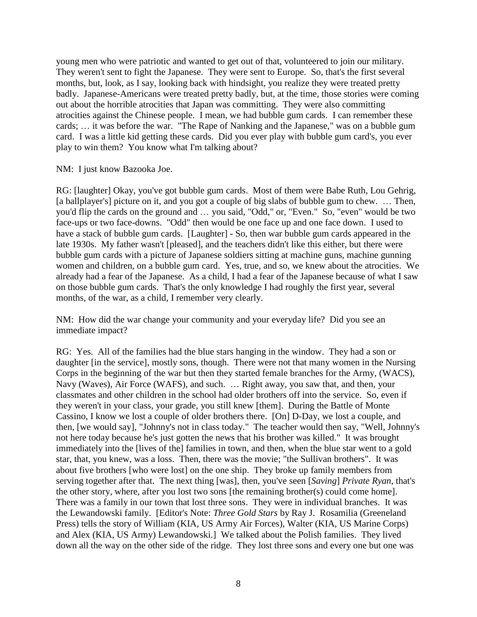young men who were patriotic and wanted to get out of that, volunteered to join our military. They weren't sent to fight the Japanese. They were sent to Europe. So, that's the first several months, but, look, as I say, looking back with hindsight, you realize they were treated pretty badly. Japanese-Americans were treated pretty badly, but, at the time, those stories were coming out about the horrible atrocities that Japan was committing. They were also committing atrocities against the Chinese people. I mean, we had bubble gum cards. I can remember these cards; … it was before the war. "The Rape of Nanking and the Japanese," was on a bubble gum card. I was a little kid getting these cards. Did you ever play with bubble gum card's, you ever play to win them? You know what I'm talking about?

NM: I just know Bazooka Joe.

RG: [laughter] Okay, you've got bubble gum cards. Most of them were Babe Ruth, Lou Gehrig, [a ballplayer's] picture on it, and you got a couple of big slabs of bubble gum to chew. ... Then, you'd flip the cards on the ground and … you said, "Odd," or, "Even." So, "even" would be two face-ups or two face-downs. "Odd" then would be one face up and one face down. I used to have a stack of bubble gum cards. [Laughter] - So, then war bubble gum cards appeared in the late 1930s. My father wasn't [pleased], and the teachers didn't like this either, but there were bubble gum cards with a picture of Japanese soldiers sitting at machine guns, machine gunning women and children, on a bubble gum card. Yes, true, and so, we knew about the atrocities. We already had a fear of the Japanese. As a child, I had a fear of the Japanese because of what I saw on those bubble gum cards. That's the only knowledge I had roughly the first year, several months, of the war, as a child, I remember very clearly.

NM: How did the war change your community and your everyday life? Did you see an immediate impact?

RG: Yes. All of the families had the blue stars hanging in the window. They had a son or daughter [in the service], mostly sons, though. There were not that many women in the Nursing Corps in the beginning of the war but then they started female branches for the Army, (WACS), Navy (Waves), Air Force (WAFS), and such. … Right away, you saw that, and then, your classmates and other children in the school had older brothers off into the service. So, even if they weren't in your class, your grade, you still knew [them]. During the Battle of Monte Cassino, I know we lost a couple of older brothers there. [On] D-Day, we lost a couple, and then, [we would say], "Johnny's not in class today." The teacher would then say, "Well, Johnny's not here today because he's just gotten the news that his brother was killed." It was brought immediately into the [lives of the] families in town, and then, when the blue star went to a gold star, that, you knew, was a loss. Then, there was the movie; "the Sullivan brothers". It was about five brothers [who were lost] on the one ship. They broke up family members from serving together after that. The next thing [was], then, you've seen [*Saving*] *Private Ryan*, that's the other story, where, after you lost two sons [the remaining brother(s) could come home]. There was a family in our town that lost three sons. They were in individual branches. It was the Lewandowski family. [Editor's Note: *Three Gold Stars* by Ray J. Rosamilia (Greeneland Press) tells the story of William (KIA, US Army Air Forces), Walter (KIA, US Marine Corps) and Alex (KIA, US Army) Lewandowski.] We talked about the Polish families. They lived down all the way on the other side of the ridge. They lost three sons and every one but one was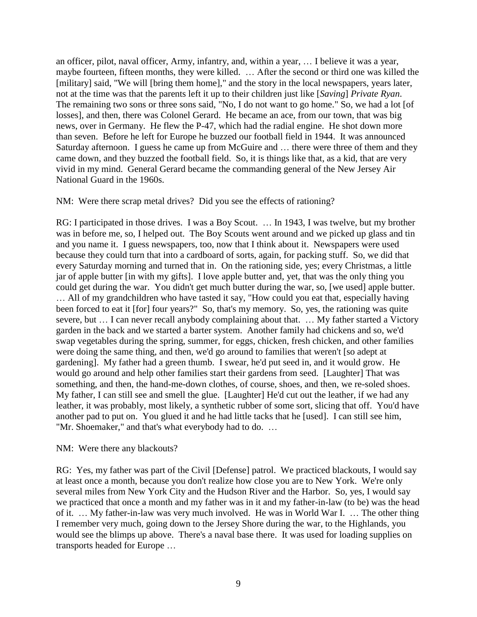an officer, pilot, naval officer, Army, infantry, and, within a year, … I believe it was a year, maybe fourteen, fifteen months, they were killed. … After the second or third one was killed the [military] said, "We will [bring them home]," and the story in the local newspapers, years later, not at the time was that the parents left it up to their children just like [*Saving*] *Private Ryan*. The remaining two sons or three sons said, "No, I do not want to go home." So, we had a lot [of losses], and then, there was Colonel Gerard. He became an ace, from our town, that was big news, over in Germany. He flew the P-47, which had the radial engine. He shot down more than seven. Before he left for Europe he buzzed our football field in 1944. It was announced Saturday afternoon. I guess he came up from McGuire and … there were three of them and they came down, and they buzzed the football field. So, it is things like that, as a kid, that are very vivid in my mind. General Gerard became the commanding general of the New Jersey Air National Guard in the 1960s.

### NM: Were there scrap metal drives? Did you see the effects of rationing?

RG: I participated in those drives. I was a Boy Scout. … In 1943, I was twelve, but my brother was in before me, so, I helped out. The Boy Scouts went around and we picked up glass and tin and you name it. I guess newspapers, too, now that I think about it. Newspapers were used because they could turn that into a cardboard of sorts, again, for packing stuff. So, we did that every Saturday morning and turned that in. On the rationing side, yes; every Christmas, a little jar of apple butter [in with my gifts]. I love apple butter and, yet, that was the only thing you could get during the war. You didn't get much butter during the war, so, [we used] apple butter. … All of my grandchildren who have tasted it say, "How could you eat that, especially having been forced to eat it [for] four years?" So, that's my memory. So, yes, the rationing was quite severe, but … I can never recall anybody complaining about that. … My father started a Victory garden in the back and we started a barter system. Another family had chickens and so, we'd swap vegetables during the spring, summer, for eggs, chicken, fresh chicken, and other families were doing the same thing, and then, we'd go around to families that weren't [so adept at gardening]. My father had a green thumb. I swear, he'd put seed in, and it would grow. He would go around and help other families start their gardens from seed. [Laughter] That was something, and then, the hand-me-down clothes, of course, shoes, and then, we re-soled shoes. My father, I can still see and smell the glue. [Laughter] He'd cut out the leather, if we had any leather, it was probably, most likely, a synthetic rubber of some sort, slicing that off. You'd have another pad to put on. You glued it and he had little tacks that he [used]. I can still see him, "Mr. Shoemaker," and that's what everybody had to do. …

### NM: Were there any blackouts?

RG: Yes, my father was part of the Civil [Defense] patrol. We practiced blackouts, I would say at least once a month, because you don't realize how close you are to New York. We're only several miles from New York City and the Hudson River and the Harbor. So, yes, I would say we practiced that once a month and my father was in it and my father-in-law (to be) was the head of it. … My father-in-law was very much involved. He was in World War I. … The other thing I remember very much, going down to the Jersey Shore during the war, to the Highlands, you would see the blimps up above. There's a naval base there. It was used for loading supplies on transports headed for Europe …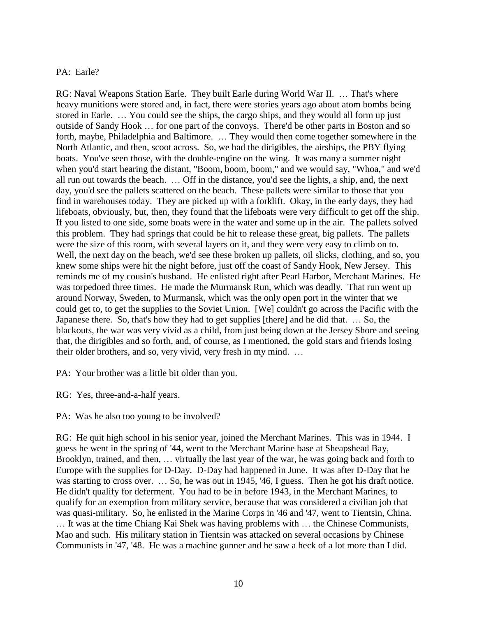# PA: Earle?

RG: Naval Weapons Station Earle. They built Earle during World War II. … That's where heavy munitions were stored and, in fact, there were stories years ago about atom bombs being stored in Earle. … You could see the ships, the cargo ships, and they would all form up just outside of Sandy Hook … for one part of the convoys. There'd be other parts in Boston and so forth, maybe, Philadelphia and Baltimore. … They would then come together somewhere in the North Atlantic, and then, scoot across. So, we had the dirigibles, the airships, the PBY flying boats. You've seen those, with the double-engine on the wing. It was many a summer night when you'd start hearing the distant, "Boom, boom, boom," and we would say, "Whoa," and we'd all run out towards the beach. … Off in the distance, you'd see the lights, a ship, and, the next day, you'd see the pallets scattered on the beach. These pallets were similar to those that you find in warehouses today. They are picked up with a forklift. Okay, in the early days, they had lifeboats, obviously, but, then, they found that the lifeboats were very difficult to get off the ship. If you listed to one side, some boats were in the water and some up in the air. The pallets solved this problem. They had springs that could be hit to release these great, big pallets. The pallets were the size of this room, with several layers on it, and they were very easy to climb on to. Well, the next day on the beach, we'd see these broken up pallets, oil slicks, clothing, and so, you knew some ships were hit the night before, just off the coast of Sandy Hook, New Jersey. This reminds me of my cousin's husband. He enlisted right after Pearl Harbor, Merchant Marines. He was torpedoed three times. He made the Murmansk Run, which was deadly. That run went up around Norway, Sweden, to Murmansk, which was the only open port in the winter that we could get to, to get the supplies to the Soviet Union. [We] couldn't go across the Pacific with the Japanese there. So, that's how they had to get supplies [there] and he did that. … So, the blackouts, the war was very vivid as a child, from just being down at the Jersey Shore and seeing that, the dirigibles and so forth, and, of course, as I mentioned, the gold stars and friends losing their older brothers, and so, very vivid, very fresh in my mind. …

PA: Your brother was a little bit older than you.

RG: Yes, three-and-a-half years.

PA: Was he also too young to be involved?

RG: He quit high school in his senior year, joined the Merchant Marines. This was in 1944. I guess he went in the spring of '44, went to the Merchant Marine base at Sheapshead Bay, Brooklyn, trained, and then, … virtually the last year of the war, he was going back and forth to Europe with the supplies for D-Day. D-Day had happened in June. It was after D-Day that he was starting to cross over. ... So, he was out in 1945, '46, I guess. Then he got his draft notice. He didn't qualify for deferment. You had to be in before 1943, in the Merchant Marines, to qualify for an exemption from military service, because that was considered a civilian job that was quasi-military. So, he enlisted in the Marine Corps in '46 and '47, went to Tientsin, China. … It was at the time Chiang Kai Shek was having problems with … the Chinese Communists, Mao and such. His military station in Tientsin was attacked on several occasions by Chinese Communists in '47, '48. He was a machine gunner and he saw a heck of a lot more than I did.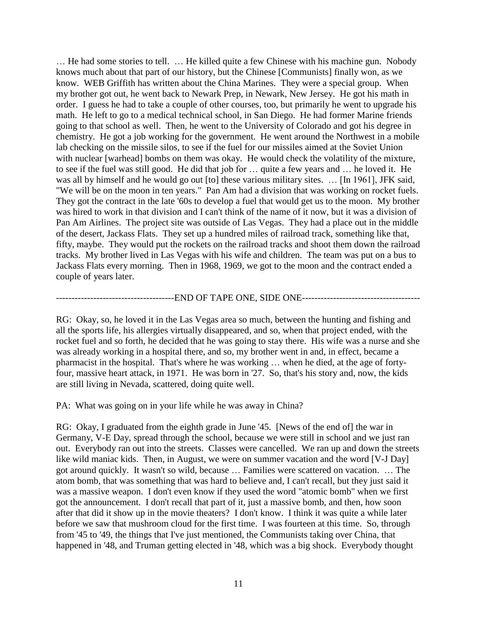… He had some stories to tell. … He killed quite a few Chinese with his machine gun. Nobody knows much about that part of our history, but the Chinese [Communists] finally won, as we know. WEB Griffith has written about the China Marines. They were a special group. When my brother got out, he went back to Newark Prep, in Newark, New Jersey. He got his math in order. I guess he had to take a couple of other courses, too, but primarily he went to upgrade his math. He left to go to a medical technical school, in San Diego. He had former Marine friends going to that school as well. Then, he went to the University of Colorado and got his degree in chemistry. He got a job working for the government. He went around the Northwest in a mobile lab checking on the missile silos, to see if the fuel for our missiles aimed at the Soviet Union with nuclear [warhead] bombs on them was okay. He would check the volatility of the mixture, to see if the fuel was still good. He did that job for … quite a few years and … he loved it. He was all by himself and he would go out [to] these various military sites. … [In 1961], JFK said, "We will be on the moon in ten years." Pan Am had a division that was working on rocket fuels. They got the contract in the late '60s to develop a fuel that would get us to the moon. My brother was hired to work in that division and I can't think of the name of it now, but it was a division of Pan Am Airlines. The project site was outside of Las Vegas. They had a place out in the middle of the desert, Jackass Flats. They set up a hundred miles of railroad track, something like that, fifty, maybe. They would put the rockets on the railroad tracks and shoot them down the railroad tracks. My brother lived in Las Vegas with his wife and children. The team was put on a bus to Jackass Flats every morning. Then in 1968, 1969, we got to the moon and the contract ended a couple of years later.

--------------------------------------END OF TAPE ONE, SIDE ONE--------------------------------------

RG: Okay, so, he loved it in the Las Vegas area so much, between the hunting and fishing and all the sports life, his allergies virtually disappeared, and so, when that project ended, with the rocket fuel and so forth, he decided that he was going to stay there. His wife was a nurse and she was already working in a hospital there, and so, my brother went in and, in effect, became a pharmacist in the hospital. That's where he was working … when he died, at the age of fortyfour, massive heart attack, in 1971. He was born in '27. So, that's his story and, now, the kids are still living in Nevada, scattered, doing quite well.

PA: What was going on in your life while he was away in China?

RG: Okay, I graduated from the eighth grade in June '45. [News of the end of] the war in Germany, V-E Day, spread through the school, because we were still in school and we just ran out. Everybody ran out into the streets. Classes were cancelled. We ran up and down the streets like wild maniac kids. Then, in August, we were on summer vacation and the word [V-J Day] got around quickly. It wasn't so wild, because … Families were scattered on vacation. … The atom bomb, that was something that was hard to believe and, I can't recall, but they just said it was a massive weapon. I don't even know if they used the word "atomic bomb" when we first got the announcement. I don't recall that part of it, just a massive bomb, and then, how soon after that did it show up in the movie theaters? I don't know. I think it was quite a while later before we saw that mushroom cloud for the first time. I was fourteen at this time. So, through from '45 to '49, the things that I've just mentioned, the Communists taking over China, that happened in '48, and Truman getting elected in '48, which was a big shock. Everybody thought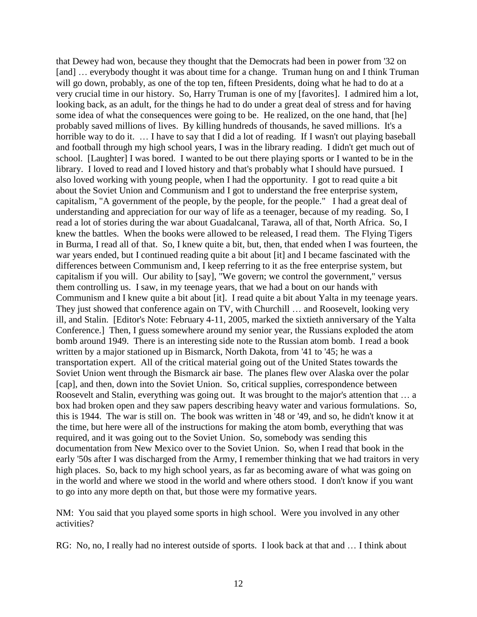that Dewey had won, because they thought that the Democrats had been in power from '32 on [and] ... everybody thought it was about time for a change. Truman hung on and I think Truman will go down, probably, as one of the top ten, fifteen Presidents, doing what he had to do at a very crucial time in our history. So, Harry Truman is one of my [favorites]. I admired him a lot, looking back, as an adult, for the things he had to do under a great deal of stress and for having some idea of what the consequences were going to be. He realized, on the one hand, that [he] probably saved millions of lives. By killing hundreds of thousands, he saved millions. It's a horrible way to do it. ... I have to say that I did a lot of reading. If I wasn't out playing baseball and football through my high school years, I was in the library reading. I didn't get much out of school. [Laughter] I was bored. I wanted to be out there playing sports or I wanted to be in the library. I loved to read and I loved history and that's probably what I should have pursued. I also loved working with young people, when I had the opportunity. I got to read quite a bit about the Soviet Union and Communism and I got to understand the free enterprise system, capitalism, "A government of the people, by the people, for the people." I had a great deal of understanding and appreciation for our way of life as a teenager, because of my reading. So, I read a lot of stories during the war about Guadalcanal, Tarawa, all of that, North Africa. So, I knew the battles. When the books were allowed to be released, I read them. The Flying Tigers in Burma, I read all of that. So, I knew quite a bit, but, then, that ended when I was fourteen, the war years ended, but I continued reading quite a bit about [it] and I became fascinated with the differences between Communism and, I keep referring to it as the free enterprise system, but capitalism if you will. Our ability to [say], "We govern; we control the government," versus them controlling us. I saw, in my teenage years, that we had a bout on our hands with Communism and I knew quite a bit about [it]. I read quite a bit about Yalta in my teenage years. They just showed that conference again on TV, with Churchill … and Roosevelt, looking very ill, and Stalin. [Editor's Note: February 4-11, 2005, marked the sixtieth anniversary of the Yalta Conference.] Then, I guess somewhere around my senior year, the Russians exploded the atom bomb around 1949. There is an interesting side note to the Russian atom bomb. I read a book written by a major stationed up in Bismarck, North Dakota, from '41 to '45; he was a transportation expert. All of the critical material going out of the United States towards the Soviet Union went through the Bismarck air base. The planes flew over Alaska over the polar [cap], and then, down into the Soviet Union. So, critical supplies, correspondence between Roosevelt and Stalin, everything was going out. It was brought to the major's attention that … a box had broken open and they saw papers describing heavy water and various formulations. So, this is 1944. The war is still on. The book was written in '48 or '49, and so, he didn't know it at the time, but here were all of the instructions for making the atom bomb, everything that was required, and it was going out to the Soviet Union. So, somebody was sending this documentation from New Mexico over to the Soviet Union. So, when I read that book in the early '50s after I was discharged from the Army, I remember thinking that we had traitors in very high places. So, back to my high school years, as far as becoming aware of what was going on in the world and where we stood in the world and where others stood. I don't know if you want to go into any more depth on that, but those were my formative years.

NM: You said that you played some sports in high school. Were you involved in any other activities?

RG: No, no, I really had no interest outside of sports. I look back at that and … I think about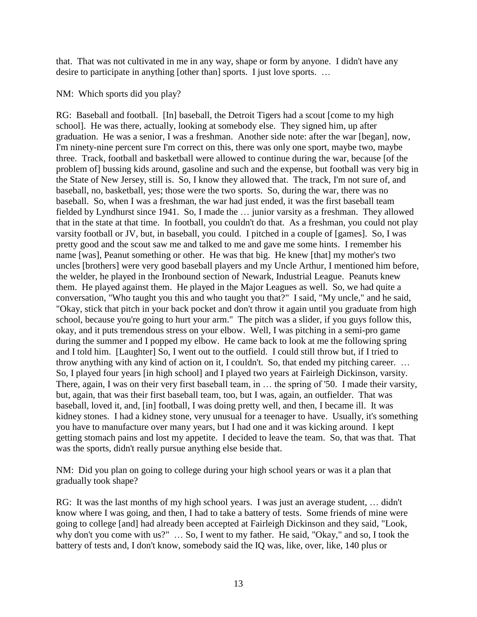that. That was not cultivated in me in any way, shape or form by anyone. I didn't have any desire to participate in anything [other than] sports. I just love sports. ...

NM: Which sports did you play?

RG: Baseball and football. [In] baseball, the Detroit Tigers had a scout [come to my high school]. He was there, actually, looking at somebody else. They signed him, up after graduation. He was a senior, I was a freshman. Another side note: after the war [began], now, I'm ninety-nine percent sure I'm correct on this, there was only one sport, maybe two, maybe three. Track, football and basketball were allowed to continue during the war, because [of the problem of] bussing kids around, gasoline and such and the expense, but football was very big in the State of New Jersey, still is. So, I know they allowed that. The track, I'm not sure of, and baseball, no, basketball, yes; those were the two sports. So, during the war, there was no baseball. So, when I was a freshman, the war had just ended, it was the first baseball team fielded by Lyndhurst since 1941. So, I made the … junior varsity as a freshman. They allowed that in the state at that time. In football, you couldn't do that. As a freshman, you could not play varsity football or JV, but, in baseball, you could. I pitched in a couple of [games]. So, I was pretty good and the scout saw me and talked to me and gave me some hints. I remember his name [was], Peanut something or other. He was that big. He knew [that] my mother's two uncles [brothers] were very good baseball players and my Uncle Arthur, I mentioned him before, the welder, he played in the Ironbound section of Newark, Industrial League. Peanuts knew them. He played against them. He played in the Major Leagues as well. So, we had quite a conversation, "Who taught you this and who taught you that?" I said, "My uncle," and he said, "Okay, stick that pitch in your back pocket and don't throw it again until you graduate from high school, because you're going to hurt your arm." The pitch was a slider, if you guys follow this, okay, and it puts tremendous stress on your elbow. Well, I was pitching in a semi-pro game during the summer and I popped my elbow. He came back to look at me the following spring and I told him. [Laughter] So, I went out to the outfield. I could still throw but, if I tried to throw anything with any kind of action on it, I couldn't. So, that ended my pitching career. … So, I played four years [in high school] and I played two years at Fairleigh Dickinson, varsity. There, again, I was on their very first baseball team, in … the spring of '50. I made their varsity, but, again, that was their first baseball team, too, but I was, again, an outfielder. That was baseball, loved it, and, [in] football, I was doing pretty well, and then, I became ill. It was kidney stones. I had a kidney stone, very unusual for a teenager to have. Usually, it's something you have to manufacture over many years, but I had one and it was kicking around. I kept getting stomach pains and lost my appetite. I decided to leave the team. So, that was that. That was the sports, didn't really pursue anything else beside that.

NM: Did you plan on going to college during your high school years or was it a plan that gradually took shape?

RG: It was the last months of my high school years. I was just an average student, … didn't know where I was going, and then, I had to take a battery of tests. Some friends of mine were going to college [and] had already been accepted at Fairleigh Dickinson and they said, "Look, why don't you come with us?" … So, I went to my father. He said, "Okay," and so, I took the battery of tests and, I don't know, somebody said the IQ was, like, over, like, 140 plus or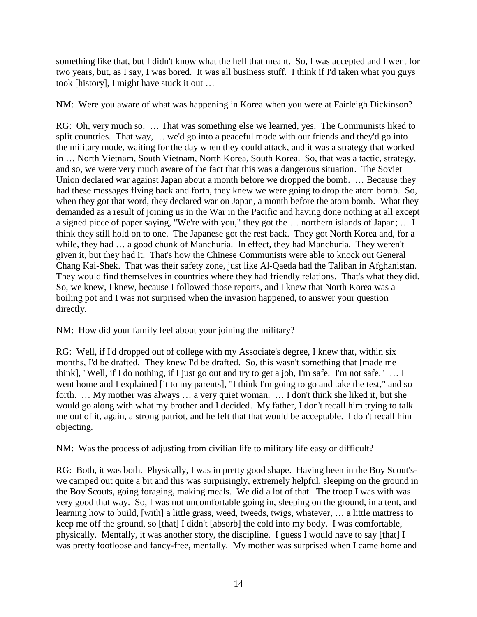something like that, but I didn't know what the hell that meant. So, I was accepted and I went for two years, but, as I say, I was bored. It was all business stuff. I think if I'd taken what you guys took [history], I might have stuck it out …

NM: Were you aware of what was happening in Korea when you were at Fairleigh Dickinson?

RG: Oh, very much so. … That was something else we learned, yes. The Communists liked to split countries. That way, … we'd go into a peaceful mode with our friends and they'd go into the military mode, waiting for the day when they could attack, and it was a strategy that worked in … North Vietnam, South Vietnam, North Korea, South Korea. So, that was a tactic, strategy, and so, we were very much aware of the fact that this was a dangerous situation. The Soviet Union declared war against Japan about a month before we dropped the bomb. … Because they had these messages flying back and forth, they knew we were going to drop the atom bomb. So, when they got that word, they declared war on Japan, a month before the atom bomb. What they demanded as a result of joining us in the War in the Pacific and having done nothing at all except a signed piece of paper saying, "We're with you," they got the … northern islands of Japan; … I think they still hold on to one. The Japanese got the rest back. They got North Korea and, for a while, they had … a good chunk of Manchuria. In effect, they had Manchuria. They weren't given it, but they had it. That's how the Chinese Communists were able to knock out General Chang Kai-Shek. That was their safety zone, just like Al-Qaeda had the Taliban in Afghanistan. They would find themselves in countries where they had friendly relations. That's what they did. So, we knew, I knew, because I followed those reports, and I knew that North Korea was a boiling pot and I was not surprised when the invasion happened, to answer your question directly.

NM: How did your family feel about your joining the military?

RG: Well, if I'd dropped out of college with my Associate's degree, I knew that, within six months, I'd be drafted. They knew I'd be drafted. So, this wasn't something that [made me think], "Well, if I do nothing, if I just go out and try to get a job, I'm safe. I'm not safe." … I went home and I explained [it to my parents], "I think I'm going to go and take the test," and so forth. … My mother was always … a very quiet woman. … I don't think she liked it, but she would go along with what my brother and I decided. My father, I don't recall him trying to talk me out of it, again, a strong patriot, and he felt that that would be acceptable. I don't recall him objecting.

NM: Was the process of adjusting from civilian life to military life easy or difficult?

RG: Both, it was both. Physically, I was in pretty good shape. Having been in the Boy Scout'swe camped out quite a bit and this was surprisingly, extremely helpful, sleeping on the ground in the Boy Scouts, going foraging, making meals. We did a lot of that. The troop I was with was very good that way. So, I was not uncomfortable going in, sleeping on the ground, in a tent, and learning how to build, [with] a little grass, weed, tweeds, twigs, whatever, … a little mattress to keep me off the ground, so [that] I didn't [absorb] the cold into my body. I was comfortable, physically. Mentally, it was another story, the discipline. I guess I would have to say [that] I was pretty footloose and fancy-free, mentally. My mother was surprised when I came home and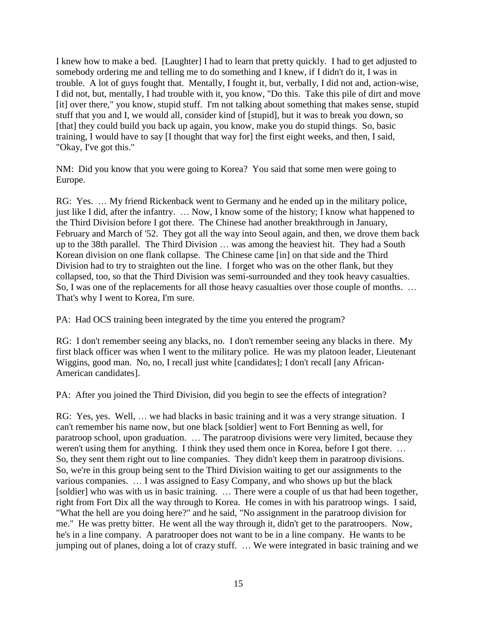I knew how to make a bed. [Laughter] I had to learn that pretty quickly. I had to get adjusted to somebody ordering me and telling me to do something and I knew, if I didn't do it, I was in trouble. A lot of guys fought that. Mentally, I fought it, but, verbally, I did not and, action-wise, I did not, but, mentally, I had trouble with it, you know, "Do this. Take this pile of dirt and move [it] over there," you know, stupid stuff. I'm not talking about something that makes sense, stupid stuff that you and I, we would all, consider kind of [stupid], but it was to break you down, so [that] they could build you back up again, you know, make you do stupid things. So, basic training, I would have to say [I thought that way for] the first eight weeks, and then, I said, "Okay, I've got this."

NM: Did you know that you were going to Korea? You said that some men were going to Europe.

RG: Yes. … My friend Rickenback went to Germany and he ended up in the military police, just like I did, after the infantry. … Now, I know some of the history; I know what happened to the Third Division before I got there. The Chinese had another breakthrough in January, February and March of '52. They got all the way into Seoul again, and then, we drove them back up to the 38th parallel. The Third Division … was among the heaviest hit. They had a South Korean division on one flank collapse. The Chinese came [in] on that side and the Third Division had to try to straighten out the line. I forget who was on the other flank, but they collapsed, too, so that the Third Division was semi-surrounded and they took heavy casualties. So, I was one of the replacements for all those heavy casualties over those couple of months. … That's why I went to Korea, I'm sure.

PA: Had OCS training been integrated by the time you entered the program?

RG: I don't remember seeing any blacks, no. I don't remember seeing any blacks in there. My first black officer was when I went to the military police. He was my platoon leader, Lieutenant Wiggins, good man. No, no, I recall just white [candidates]; I don't recall [any African-American candidates].

PA: After you joined the Third Division, did you begin to see the effects of integration?

RG: Yes, yes. Well, ... we had blacks in basic training and it was a very strange situation. I can't remember his name now, but one black [soldier] went to Fort Benning as well, for paratroop school, upon graduation. … The paratroop divisions were very limited, because they weren't using them for anything. I think they used them once in Korea, before I got there. … So, they sent them right out to line companies. They didn't keep them in paratroop divisions. So, we're in this group being sent to the Third Division waiting to get our assignments to the various companies. … I was assigned to Easy Company, and who shows up but the black [soldier] who was with us in basic training. … There were a couple of us that had been together, right from Fort Dix all the way through to Korea. He comes in with his paratroop wings. I said, "What the hell are you doing here?" and he said, "No assignment in the paratroop division for me." He was pretty bitter. He went all the way through it, didn't get to the paratroopers. Now, he's in a line company. A paratrooper does not want to be in a line company. He wants to be jumping out of planes, doing a lot of crazy stuff. … We were integrated in basic training and we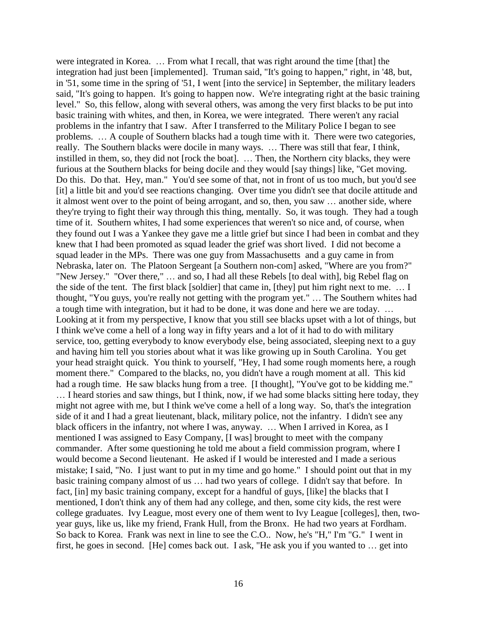were integrated in Korea. … From what I recall, that was right around the time [that] the integration had just been [implemented]. Truman said, "It's going to happen," right, in '48, but, in '51, some time in the spring of '51, I went [into the service] in September, the military leaders said, "It's going to happen. It's going to happen now. We're integrating right at the basic training level." So, this fellow, along with several others, was among the very first blacks to be put into basic training with whites, and then, in Korea, we were integrated. There weren't any racial problems in the infantry that I saw. After I transferred to the Military Police I began to see problems. … A couple of Southern blacks had a tough time with it. There were two categories, really. The Southern blacks were docile in many ways. … There was still that fear, I think, instilled in them, so, they did not [rock the boat]. … Then, the Northern city blacks, they were furious at the Southern blacks for being docile and they would [say things] like, "Get moving. Do this. Do that. Hey, man." You'd see some of that, not in front of us too much, but you'd see [it] a little bit and you'd see reactions changing. Over time you didn't see that docile attitude and it almost went over to the point of being arrogant, and so, then, you saw … another side, where they're trying to fight their way through this thing, mentally. So, it was tough. They had a tough time of it. Southern whites, I had some experiences that weren't so nice and, of course, when they found out I was a Yankee they gave me a little grief but since I had been in combat and they knew that I had been promoted as squad leader the grief was short lived. I did not become a squad leader in the MPs. There was one guy from Massachusetts and a guy came in from Nebraska, later on. The Platoon Sergeant [a Southern non-com] asked, "Where are you from?" "New Jersey." "Over there," … and so, I had all these Rebels [to deal with], big Rebel flag on the side of the tent. The first black [soldier] that came in, [they] put him right next to me. … I thought, "You guys, you're really not getting with the program yet." … The Southern whites had a tough time with integration, but it had to be done, it was done and here we are today. … Looking at it from my perspective, I know that you still see blacks upset with a lot of things, but I think we've come a hell of a long way in fifty years and a lot of it had to do with military service, too, getting everybody to know everybody else, being associated, sleeping next to a guy and having him tell you stories about what it was like growing up in South Carolina. You get your head straight quick. You think to yourself, "Hey, I had some rough moments here, a rough moment there." Compared to the blacks, no, you didn't have a rough moment at all. This kid had a rough time. He saw blacks hung from a tree. [I thought], "You've got to be kidding me." … I heard stories and saw things, but I think, now, if we had some blacks sitting here today, they might not agree with me, but I think we've come a hell of a long way. So, that's the integration side of it and I had a great lieutenant, black, military police, not the infantry. I didn't see any black officers in the infantry, not where I was, anyway. … When I arrived in Korea, as I mentioned I was assigned to Easy Company, [I was] brought to meet with the company commander. After some questioning he told me about a field commission program, where I would become a Second lieutenant. He asked if I would be interested and I made a serious mistake; I said, "No. I just want to put in my time and go home." I should point out that in my basic training company almost of us … had two years of college. I didn't say that before. In fact, [in] my basic training company, except for a handful of guys, [like] the blacks that I mentioned, I don't think any of them had any college, and then, some city kids, the rest were college graduates. Ivy League, most every one of them went to Ivy League [colleges], then, twoyear guys, like us, like my friend, Frank Hull, from the Bronx. He had two years at Fordham. So back to Korea. Frank was next in line to see the C.O.. Now, he's "H," I'm "G." I went in first, he goes in second. [He] comes back out. I ask, "He ask you if you wanted to … get into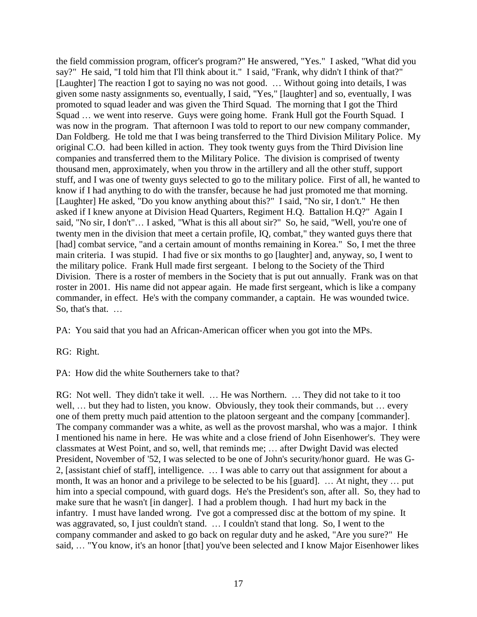the field commission program, officer's program?" He answered, "Yes." I asked, "What did you say?" He said, "I told him that I'll think about it." I said, "Frank, why didn't I think of that?" [Laughter] The reaction I got to saying no was not good. … Without going into details, I was given some nasty assignments so, eventually, I said, "Yes," [laughter] and so, eventually, I was promoted to squad leader and was given the Third Squad. The morning that I got the Third Squad ... we went into reserve. Guys were going home. Frank Hull got the Fourth Squad. I was now in the program. That afternoon I was told to report to our new company commander, Dan Foldberg. He told me that I was being transferred to the Third Division Military Police. My original C.O. had been killed in action. They took twenty guys from the Third Division line companies and transferred them to the Military Police. The division is comprised of twenty thousand men, approximately, when you throw in the artillery and all the other stuff, support stuff, and I was one of twenty guys selected to go to the military police. First of all, he wanted to know if I had anything to do with the transfer, because he had just promoted me that morning. [Laughter] He asked, "Do you know anything about this?" I said, "No sir, I don't." He then asked if I knew anyone at Division Head Quarters, Regiment H.Q. Battalion H.Q?" Again I said, "No sir, I don't"… I asked, "What is this all about sir?" So, he said, "Well, you're one of twenty men in the division that meet a certain profile, IQ, combat," they wanted guys there that [had] combat service, "and a certain amount of months remaining in Korea." So, I met the three main criteria. I was stupid. I had five or six months to go [laughter] and, anyway, so, I went to the military police. Frank Hull made first sergeant. I belong to the Society of the Third Division. There is a roster of members in the Society that is put out annually. Frank was on that roster in 2001. His name did not appear again. He made first sergeant, which is like a company commander, in effect. He's with the company commander, a captain. He was wounded twice. So, that's that. …

PA: You said that you had an African-American officer when you got into the MPs.

RG: Right.

PA: How did the white Southerners take to that?

RG: Not well. They didn't take it well. … He was Northern. … They did not take to it too well, … but they had to listen, you know. Obviously, they took their commands, but … every one of them pretty much paid attention to the platoon sergeant and the company [commander]. The company commander was a white, as well as the provost marshal, who was a major. I think I mentioned his name in here. He was white and a close friend of John Eisenhower's. They were classmates at West Point, and so, well, that reminds me; … after Dwight David was elected President, November of '52, I was selected to be one of John's security/honor guard. He was G-2, [assistant chief of staff], intelligence. … I was able to carry out that assignment for about a month, It was an honor and a privilege to be selected to be his [guard]. … At night, they … put him into a special compound, with guard dogs. He's the President's son, after all. So, they had to make sure that he wasn't [in danger]. I had a problem though. I had hurt my back in the infantry. I must have landed wrong. I've got a compressed disc at the bottom of my spine. It was aggravated, so, I just couldn't stand. … I couldn't stand that long. So, I went to the company commander and asked to go back on regular duty and he asked, "Are you sure?" He said, … "You know, it's an honor [that] you've been selected and I know Major Eisenhower likes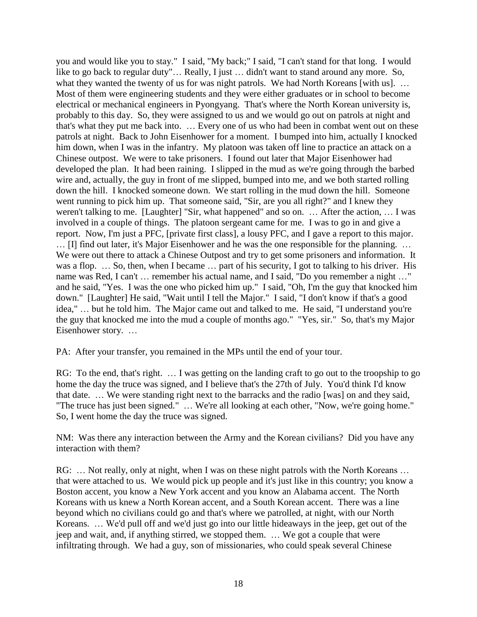you and would like you to stay." I said, "My back;" I said, "I can't stand for that long. I would like to go back to regular duty"… Really, I just … didn't want to stand around any more. So, what they wanted the twenty of us for was night patrols. We had North Koreans [with us]. ... Most of them were engineering students and they were either graduates or in school to become electrical or mechanical engineers in Pyongyang. That's where the North Korean university is, probably to this day. So, they were assigned to us and we would go out on patrols at night and that's what they put me back into. … Every one of us who had been in combat went out on these patrols at night. Back to John Eisenhower for a moment. I bumped into him, actually I knocked him down, when I was in the infantry. My platoon was taken off line to practice an attack on a Chinese outpost. We were to take prisoners. I found out later that Major Eisenhower had developed the plan. It had been raining. I slipped in the mud as we're going through the barbed wire and, actually, the guy in front of me slipped, bumped into me, and we both started rolling down the hill. I knocked someone down. We start rolling in the mud down the hill. Someone went running to pick him up. That someone said, "Sir, are you all right?" and I knew they weren't talking to me. [Laughter] "Sir, what happened" and so on. … After the action, … I was involved in a couple of things. The platoon sergeant came for me. I was to go in and give a report. Now, I'm just a PFC, [private first class], a lousy PFC, and I gave a report to this major. … [I] find out later, it's Major Eisenhower and he was the one responsible for the planning. … We were out there to attack a Chinese Outpost and try to get some prisoners and information. It was a flop. ... So, then, when I became ... part of his security, I got to talking to his driver. His name was Red, I can't … remember his actual name, and I said, "Do you remember a night …" and he said, "Yes. I was the one who picked him up." I said, "Oh, I'm the guy that knocked him down." [Laughter] He said, "Wait until I tell the Major." I said, "I don't know if that's a good idea," … but he told him. The Major came out and talked to me. He said, "I understand you're the guy that knocked me into the mud a couple of months ago." "Yes, sir." So, that's my Major Eisenhower story. …

PA: After your transfer, you remained in the MPs until the end of your tour.

RG: To the end, that's right. ... I was getting on the landing craft to go out to the troopship to go home the day the truce was signed, and I believe that's the 27th of July. You'd think I'd know that date. … We were standing right next to the barracks and the radio [was] on and they said, "The truce has just been signed." … We're all looking at each other, "Now, we're going home." So, I went home the day the truce was signed.

NM: Was there any interaction between the Army and the Korean civilians? Did you have any interaction with them?

RG: ... Not really, only at night, when I was on these night patrols with the North Koreans ... that were attached to us. We would pick up people and it's just like in this country; you know a Boston accent, you know a New York accent and you know an Alabama accent. The North Koreans with us knew a North Korean accent, and a South Korean accent. There was a line beyond which no civilians could go and that's where we patrolled, at night, with our North Koreans. … We'd pull off and we'd just go into our little hideaways in the jeep, get out of the jeep and wait, and, if anything stirred, we stopped them. … We got a couple that were infiltrating through. We had a guy, son of missionaries, who could speak several Chinese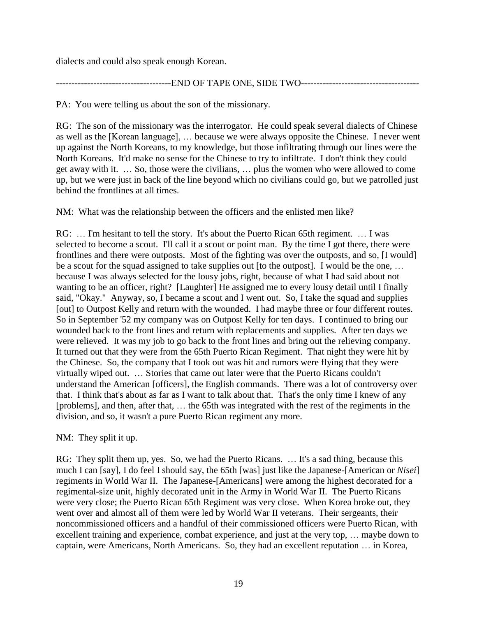dialects and could also speak enough Korean.

-------------------------------------END OF TAPE ONE, SIDE TWO--------------------------------------

PA: You were telling us about the son of the missionary.

RG: The son of the missionary was the interrogator. He could speak several dialects of Chinese as well as the [Korean language], … because we were always opposite the Chinese. I never went up against the North Koreans, to my knowledge, but those infiltrating through our lines were the North Koreans. It'd make no sense for the Chinese to try to infiltrate. I don't think they could get away with it. … So, those were the civilians, … plus the women who were allowed to come up, but we were just in back of the line beyond which no civilians could go, but we patrolled just behind the frontlines at all times.

NM: What was the relationship between the officers and the enlisted men like?

RG: … I'm hesitant to tell the story. It's about the Puerto Rican 65th regiment. … I was selected to become a scout. I'll call it a scout or point man. By the time I got there, there were frontlines and there were outposts. Most of the fighting was over the outposts, and so, [I would] be a scout for the squad assigned to take supplies out [to the outpost]. I would be the one, … because I was always selected for the lousy jobs, right, because of what I had said about not wanting to be an officer, right? [Laughter] He assigned me to every lousy detail until I finally said, "Okay." Anyway, so, I became a scout and I went out. So, I take the squad and supplies [out] to Outpost Kelly and return with the wounded. I had maybe three or four different routes. So in September '52 my company was on Outpost Kelly for ten days. I continued to bring our wounded back to the front lines and return with replacements and supplies. After ten days we were relieved. It was my job to go back to the front lines and bring out the relieving company. It turned out that they were from the 65th Puerto Rican Regiment. That night they were hit by the Chinese. So, the company that I took out was hit and rumors were flying that they were virtually wiped out. … Stories that came out later were that the Puerto Ricans couldn't understand the American [officers], the English commands. There was a lot of controversy over that. I think that's about as far as I want to talk about that. That's the only time I knew of any [problems], and then, after that, … the 65th was integrated with the rest of the regiments in the division, and so, it wasn't a pure Puerto Rican regiment any more.

NM: They split it up.

RG: They split them up, yes. So, we had the Puerto Ricans. … It's a sad thing, because this much I can [say], I do feel I should say, the 65th [was] just like the Japanese-[American or *Nisei*] regiments in World War II. The Japanese-[Americans] were among the highest decorated for a regimental-size unit, highly decorated unit in the Army in World War II. The Puerto Ricans were very close; the Puerto Rican 65th Regiment was very close. When Korea broke out, they went over and almost all of them were led by World War II veterans. Their sergeants, their noncommissioned officers and a handful of their commissioned officers were Puerto Rican, with excellent training and experience, combat experience, and just at the very top, … maybe down to captain, were Americans, North Americans. So, they had an excellent reputation … in Korea,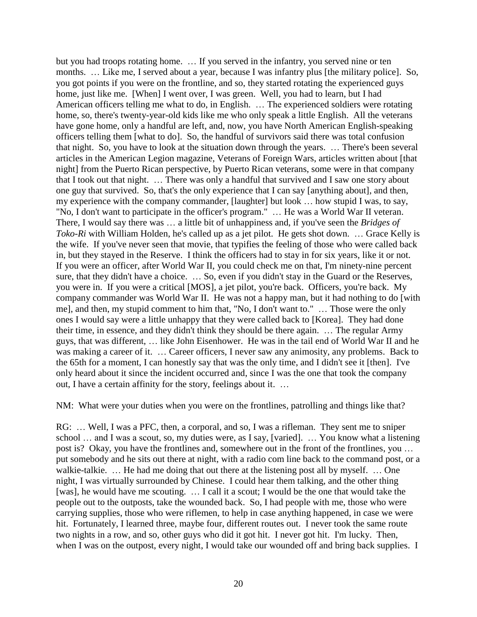but you had troops rotating home. … If you served in the infantry, you served nine or ten months. … Like me, I served about a year, because I was infantry plus [the military police]. So, you got points if you were on the frontline, and so, they started rotating the experienced guys home, just like me. [When] I went over, I was green. Well, you had to learn, but I had American officers telling me what to do, in English. … The experienced soldiers were rotating home, so, there's twenty-year-old kids like me who only speak a little English. All the veterans have gone home, only a handful are left, and, now, you have North American English-speaking officers telling them [what to do]. So, the handful of survivors said there was total confusion that night. So, you have to look at the situation down through the years. … There's been several articles in the American Legion magazine, Veterans of Foreign Wars, articles written about [that night] from the Puerto Rican perspective, by Puerto Rican veterans, some were in that company that I took out that night. … There was only a handful that survived and I saw one story about one guy that survived. So, that's the only experience that I can say [anything about], and then, my experience with the company commander, [laughter] but look … how stupid I was, to say, "No, I don't want to participate in the officer's program." … He was a World War II veteran. There, I would say there was … a little bit of unhappiness and, if you've seen the *Bridges of Toko-Ri* with William Holden, he's called up as a jet pilot. He gets shot down. … Grace Kelly is the wife. If you've never seen that movie, that typifies the feeling of those who were called back in, but they stayed in the Reserve. I think the officers had to stay in for six years, like it or not. If you were an officer, after World War II, you could check me on that, I'm ninety-nine percent sure, that they didn't have a choice. … So, even if you didn't stay in the Guard or the Reserves, you were in. If you were a critical [MOS], a jet pilot, you're back. Officers, you're back. My company commander was World War II. He was not a happy man, but it had nothing to do [with me], and then, my stupid comment to him that, "No, I don't want to." … Those were the only ones I would say were a little unhappy that they were called back to [Korea]. They had done their time, in essence, and they didn't think they should be there again. … The regular Army guys, that was different, … like John Eisenhower. He was in the tail end of World War II and he was making a career of it. ... Career officers, I never saw any animosity, any problems. Back to the 65th for a moment, I can honestly say that was the only time, and I didn't see it [then]. I've only heard about it since the incident occurred and, since I was the one that took the company out, I have a certain affinity for the story, feelings about it. …

NM: What were your duties when you were on the frontlines, patrolling and things like that?

RG: … Well, I was a PFC, then, a corporal, and so, I was a rifleman. They sent me to sniper school … and I was a scout, so, my duties were, as I say, [varied]. … You know what a listening post is? Okay, you have the frontlines and, somewhere out in the front of the frontlines, you … put somebody and he sits out there at night, with a radio com line back to the command post, or a walkie-talkie. … He had me doing that out there at the listening post all by myself. … One night, I was virtually surrounded by Chinese. I could hear them talking, and the other thing [was], he would have me scouting. … I call it a scout; I would be the one that would take the people out to the outposts, take the wounded back. So, I had people with me, those who were carrying supplies, those who were riflemen, to help in case anything happened, in case we were hit. Fortunately, I learned three, maybe four, different routes out. I never took the same route two nights in a row, and so, other guys who did it got hit. I never got hit. I'm lucky. Then, when I was on the outpost, every night, I would take our wounded off and bring back supplies. I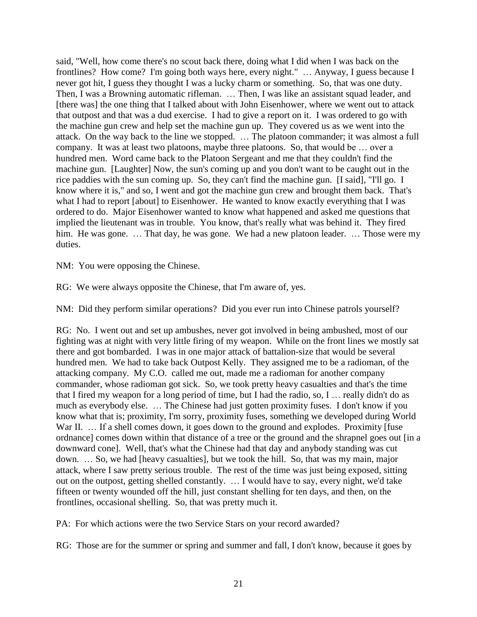said, "Well, how come there's no scout back there, doing what I did when I was back on the frontlines? How come? I'm going both ways here, every night." … Anyway, I guess because I never got hit, I guess they thought I was a lucky charm or something. So, that was one duty. Then, I was a Browning automatic rifleman. … Then, I was like an assistant squad leader, and [there was] the one thing that I talked about with John Eisenhower, where we went out to attack that outpost and that was a dud exercise. I had to give a report on it. I was ordered to go with the machine gun crew and help set the machine gun up. They covered us as we went into the attack. On the way back to the line we stopped. … The platoon commander; it was almost a full company. It was at least two platoons, maybe three platoons. So, that would be … over a hundred men. Word came back to the Platoon Sergeant and me that they couldn't find the machine gun. [Laughter] Now, the sun's coming up and you don't want to be caught out in the rice paddies with the sun coming up. So, they can't find the machine gun. [I said], "I'll go. I know where it is," and so, I went and got the machine gun crew and brought them back. That's what I had to report [about] to Eisenhower. He wanted to know exactly everything that I was ordered to do. Major Eisenhower wanted to know what happened and asked me questions that implied the lieutenant was in trouble. You know, that's really what was behind it. They fired him. He was gone. ... That day, he was gone. We had a new platoon leader. ... Those were my duties.

NM: You were opposing the Chinese.

RG: We were always opposite the Chinese, that I'm aware of, yes.

NM: Did they perform similar operations? Did you ever run into Chinese patrols yourself?

RG: No. I went out and set up ambushes, never got involved in being ambushed, most of our fighting was at night with very little firing of my weapon. While on the front lines we mostly sat there and got bombarded. I was in one major attack of battalion-size that would be several hundred men. We had to take back Outpost Kelly. They assigned me to be a radioman, of the attacking company. My C.O. called me out, made me a radioman for another company commander, whose radioman got sick. So, we took pretty heavy casualties and that's the time that I fired my weapon for a long period of time, but I had the radio, so, I … really didn't do as much as everybody else. … The Chinese had just gotten proximity fuses. I don't know if you know what that is; proximity, I'm sorry, proximity fuses, something we developed during World War II. ... If a shell comes down, it goes down to the ground and explodes. Proximity [fuse] ordnance] comes down within that distance of a tree or the ground and the shrapnel goes out [in a downward cone]. Well, that's what the Chinese had that day and anybody standing was cut down. … So, we had [heavy casualties], but we took the hill. So, that was my main, major attack, where I saw pretty serious trouble. The rest of the time was just being exposed, sitting out on the outpost, getting shelled constantly. … I would have to say, every night, we'd take fifteen or twenty wounded off the hill, just constant shelling for ten days, and then, on the frontlines, occasional shelling. So, that was pretty much it.

PA: For which actions were the two Service Stars on your record awarded?

RG: Those are for the summer or spring and summer and fall, I don't know, because it goes by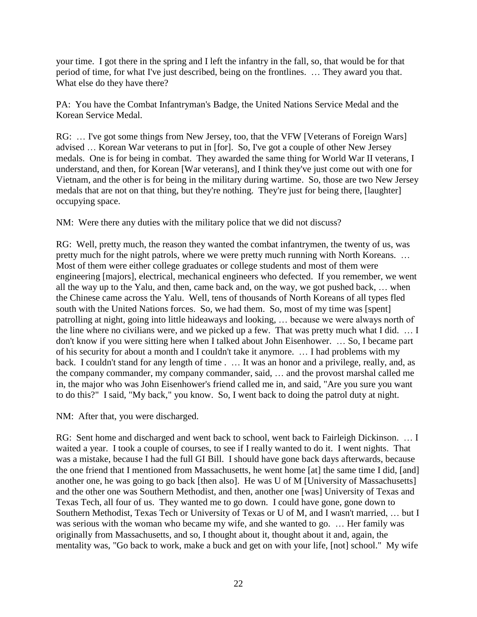your time. I got there in the spring and I left the infantry in the fall, so, that would be for that period of time, for what I've just described, being on the frontlines. … They award you that. What else do they have there?

PA: You have the Combat Infantryman's Badge, the United Nations Service Medal and the Korean Service Medal.

RG: ... I've got some things from New Jersey, too, that the VFW [Veterans of Foreign Wars] advised … Korean War veterans to put in [for]. So, I've got a couple of other New Jersey medals. One is for being in combat. They awarded the same thing for World War II veterans, I understand, and then, for Korean [War veterans], and I think they've just come out with one for Vietnam, and the other is for being in the military during wartime. So, those are two New Jersey medals that are not on that thing, but they're nothing. They're just for being there, [laughter] occupying space.

NM: Were there any duties with the military police that we did not discuss?

RG: Well, pretty much, the reason they wanted the combat infantrymen, the twenty of us, was pretty much for the night patrols, where we were pretty much running with North Koreans. … Most of them were either college graduates or college students and most of them were engineering [majors], electrical, mechanical engineers who defected. If you remember, we went all the way up to the Yalu, and then, came back and, on the way, we got pushed back, … when the Chinese came across the Yalu. Well, tens of thousands of North Koreans of all types fled south with the United Nations forces. So, we had them. So, most of my time was [spent] patrolling at night, going into little hideaways and looking, … because we were always north of the line where no civilians were, and we picked up a few. That was pretty much what I did. … I don't know if you were sitting here when I talked about John Eisenhower. … So, I became part of his security for about a month and I couldn't take it anymore. … I had problems with my back. I couldn't stand for any length of time . … It was an honor and a privilege, really, and, as the company commander, my company commander, said, … and the provost marshal called me in, the major who was John Eisenhower's friend called me in, and said, "Are you sure you want to do this?" I said, "My back," you know. So, I went back to doing the patrol duty at night.

NM: After that, you were discharged.

RG: Sent home and discharged and went back to school, went back to Fairleigh Dickinson. … I waited a year. I took a couple of courses, to see if I really wanted to do it. I went nights. That was a mistake, because I had the full GI Bill. I should have gone back days afterwards, because the one friend that I mentioned from Massachusetts, he went home [at] the same time I did, [and] another one, he was going to go back [then also]. He was U of M [University of Massachusetts] and the other one was Southern Methodist, and then, another one [was] University of Texas and Texas Tech, all four of us. They wanted me to go down. I could have gone, gone down to Southern Methodist, Texas Tech or University of Texas or U of M, and I wasn't married, … but I was serious with the woman who became my wife, and she wanted to go. … Her family was originally from Massachusetts, and so, I thought about it, thought about it and, again, the mentality was, "Go back to work, make a buck and get on with your life, [not] school." My wife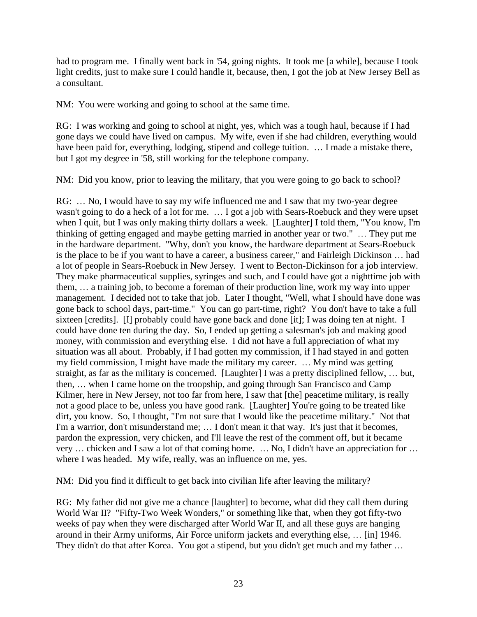had to program me. I finally went back in '54, going nights. It took me [a while], because I took light credits, just to make sure I could handle it, because, then, I got the job at New Jersey Bell as a consultant.

NM: You were working and going to school at the same time.

RG: I was working and going to school at night, yes, which was a tough haul, because if I had gone days we could have lived on campus. My wife, even if she had children, everything would have been paid for, everything, lodging, stipend and college tuition. ... I made a mistake there, but I got my degree in '58, still working for the telephone company.

NM: Did you know, prior to leaving the military, that you were going to go back to school?

RG: … No, I would have to say my wife influenced me and I saw that my two-year degree wasn't going to do a heck of a lot for me. … I got a job with Sears-Roebuck and they were upset when I quit, but I was only making thirty dollars a week. [Laughter] I told them, "You know, I'm thinking of getting engaged and maybe getting married in another year or two." … They put me in the hardware department. "Why, don't you know, the hardware department at Sears-Roebuck is the place to be if you want to have a career, a business career," and Fairleigh Dickinson … had a lot of people in Sears-Roebuck in New Jersey. I went to Becton-Dickinson for a job interview. They make pharmaceutical supplies, syringes and such, and I could have got a nighttime job with them, … a training job, to become a foreman of their production line, work my way into upper management. I decided not to take that job. Later I thought, "Well, what I should have done was gone back to school days, part-time." You can go part-time, right? You don't have to take a full sixteen [credits]. [I] probably could have gone back and done [it]; I was doing ten at night. I could have done ten during the day. So, I ended up getting a salesman's job and making good money, with commission and everything else. I did not have a full appreciation of what my situation was all about. Probably, if I had gotten my commission, if I had stayed in and gotten my field commission, I might have made the military my career. … My mind was getting straight, as far as the military is concerned. [Laughter] I was a pretty disciplined fellow, … but, then, … when I came home on the troopship, and going through San Francisco and Camp Kilmer, here in New Jersey, not too far from here, I saw that [the] peacetime military, is really not a good place to be, unless you have good rank. [Laughter] You're going to be treated like dirt, you know. So, I thought, "I'm not sure that I would like the peacetime military." Not that I'm a warrior, don't misunderstand me; … I don't mean it that way. It's just that it becomes, pardon the expression, very chicken, and I'll leave the rest of the comment off, but it became very ... chicken and I saw a lot of that coming home. ... No, I didn't have an appreciation for ... where I was headed. My wife, really, was an influence on me, yes.

NM: Did you find it difficult to get back into civilian life after leaving the military?

RG: My father did not give me a chance [laughter] to become, what did they call them during World War II? "Fifty-Two Week Wonders," or something like that, when they got fifty-two weeks of pay when they were discharged after World War II, and all these guys are hanging around in their Army uniforms, Air Force uniform jackets and everything else, … [in] 1946. They didn't do that after Korea. You got a stipend, but you didn't get much and my father ...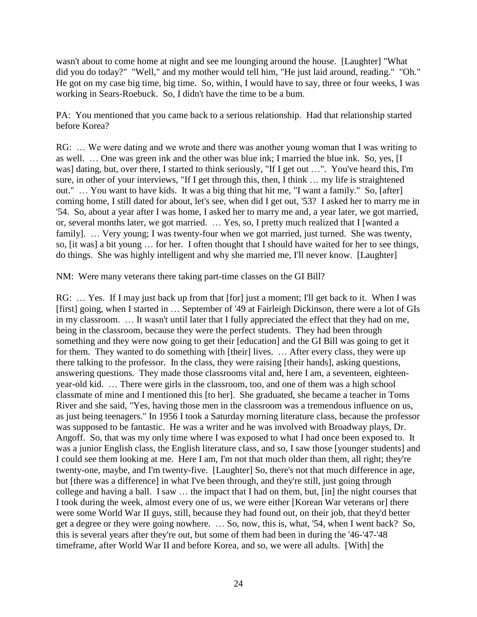wasn't about to come home at night and see me lounging around the house. [Laughter] "What did you do today?" "Well," and my mother would tell him, "He just laid around, reading." "Oh." He got on my case big time, big time. So, within, I would have to say, three or four weeks, I was working in Sears-Roebuck. So, I didn't have the time to be a bum.

PA: You mentioned that you came back to a serious relationship. Had that relationship started before Korea?

RG: ... We were dating and we wrote and there was another young woman that I was writing to as well. … One was green ink and the other was blue ink; I married the blue ink. So, yes, [I was] dating, but, over there, I started to think seriously, "If I get out …". You've heard this, I'm sure, in other of your interviews, "If I get through this, then, I think … my life is straightened out." … You want to have kids. It was a big thing that hit me, "I want a family." So, [after] coming home, I still dated for about, let's see, when did I get out, '53? I asked her to marry me in '54. So, about a year after I was home, I asked her to marry me and, a year later, we got married, or, several months later, we got married. … Yes, so, I pretty much realized that I [wanted a family]. ... Very young; I was twenty-four when we got married, just turned. She was twenty, so, [it was] a bit young … for her. I often thought that I should have waited for her to see things, do things. She was highly intelligent and why she married me, I'll never know. [Laughter]

NM: Were many veterans there taking part-time classes on the GI Bill?

RG: ... Yes. If I may just back up from that [for] just a moment; I'll get back to it. When I was [first] going, when I started in … September of '49 at Fairleigh Dickinson, there were a lot of GIs in my classroom. … It wasn't until later that I fully appreciated the effect that they had on me, being in the classroom, because they were the perfect students. They had been through something and they were now going to get their [education] and the GI Bill was going to get it for them. They wanted to do something with [their] lives. … After every class, they were up there talking to the professor. In the class, they were raising [their hands], asking questions, answering questions. They made those classrooms vital and, here I am, a seventeen, eighteenyear-old kid. … There were girls in the classroom, too, and one of them was a high school classmate of mine and I mentioned this [to her]. She graduated, she became a teacher in Toms River and she said, "Yes, having those men in the classroom was a tremendous influence on us, as just being teenagers." In 1956 I took a Saturday morning literature class, because the professor was supposed to be fantastic. He was a writer and he was involved with Broadway plays, Dr. Angoff. So, that was my only time where I was exposed to what I had once been exposed to. It was a junior English class, the English literature class, and so, I saw those [younger students] and I could see them looking at me. Here I am, I'm not that much older than them, all right; they're twenty-one, maybe, and I'm twenty-five. [Laughter] So, there's not that much difference in age, but [there was a difference] in what I've been through, and they're still, just going through college and having a ball. I saw … the impact that I had on them, but, [in] the night courses that I took during the week, almost every one of us, we were either [Korean War veterans or] there were some World War II guys, still, because they had found out, on their job, that they'd better get a degree or they were going nowhere. … So, now, this is, what, '54, when I went back? So, this is several years after they're out, but some of them had been in during the '46-'47-'48 timeframe, after World War II and before Korea, and so, we were all adults. [With] the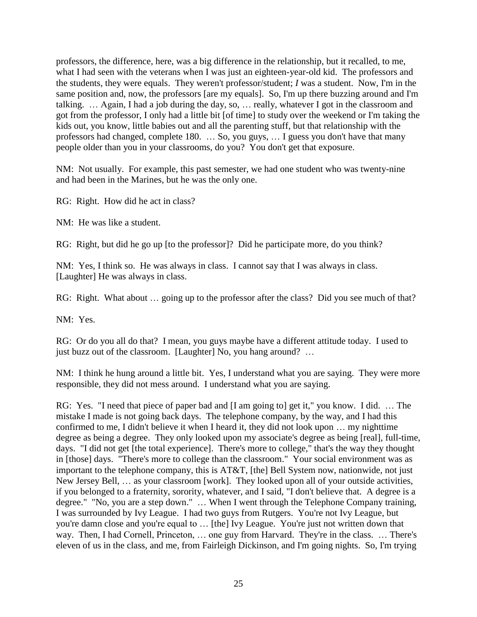professors, the difference, here, was a big difference in the relationship, but it recalled, to me, what I had seen with the veterans when I was just an eighteen-year-old kid. The professors and the students, they were equals. They weren't professor/student; *I* was a student. Now, I'm in the same position and, now, the professors [are my equals]. So, I'm up there buzzing around and I'm talking. … Again, I had a job during the day, so, … really, whatever I got in the classroom and got from the professor, I only had a little bit [of time] to study over the weekend or I'm taking the kids out, you know, little babies out and all the parenting stuff, but that relationship with the professors had changed, complete 180. … So, you guys, … I guess you don't have that many people older than you in your classrooms, do you? You don't get that exposure.

NM: Not usually. For example, this past semester, we had one student who was twenty-nine and had been in the Marines, but he was the only one.

RG: Right. How did he act in class?

NM: He was like a student.

RG: Right, but did he go up [to the professor]? Did he participate more, do you think?

NM: Yes, I think so. He was always in class. I cannot say that I was always in class. [Laughter] He was always in class.

RG: Right. What about … going up to the professor after the class? Did you see much of that?

NM: Yes.

RG: Or do you all do that? I mean, you guys maybe have a different attitude today. I used to just buzz out of the classroom. [Laughter] No, you hang around? ...

NM: I think he hung around a little bit. Yes, I understand what you are saying. They were more responsible, they did not mess around. I understand what you are saying.

RG: Yes. "I need that piece of paper bad and [I am going to] get it," you know. I did. … The mistake I made is not going back days. The telephone company, by the way, and I had this confirmed to me, I didn't believe it when I heard it, they did not look upon … my nighttime degree as being a degree. They only looked upon my associate's degree as being [real], full-time, days. "I did not get [the total experience]. There's more to college," that's the way they thought in [those] days. "There's more to college than the classroom." Your social environment was as important to the telephone company, this is AT&T, [the] Bell System now, nationwide, not just New Jersey Bell, … as your classroom [work]. They looked upon all of your outside activities, if you belonged to a fraternity, sorority, whatever, and I said, "I don't believe that. A degree is a degree." "No, you are a step down." … When I went through the Telephone Company training, I was surrounded by Ivy League. I had two guys from Rutgers. You're not Ivy League, but you're damn close and you're equal to … [the] Ivy League. You're just not written down that way. Then, I had Cornell, Princeton, … one guy from Harvard. They're in the class. … There's eleven of us in the class, and me, from Fairleigh Dickinson, and I'm going nights. So, I'm trying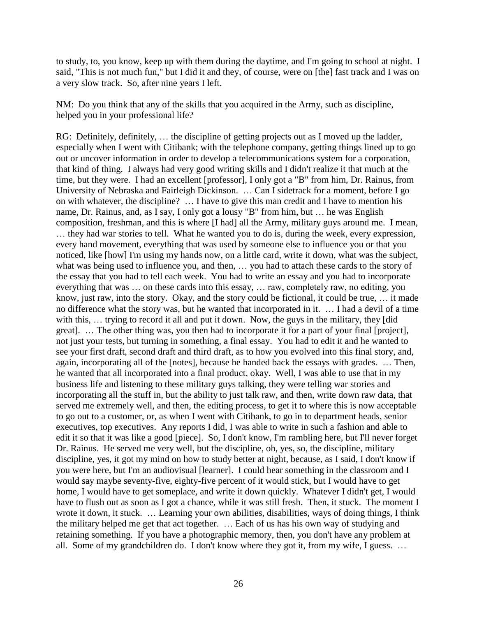to study, to, you know, keep up with them during the daytime, and I'm going to school at night. I said, "This is not much fun," but I did it and they, of course, were on [the] fast track and I was on a very slow track. So, after nine years I left.

NM: Do you think that any of the skills that you acquired in the Army, such as discipline, helped you in your professional life?

RG: Definitely, definitely, … the discipline of getting projects out as I moved up the ladder, especially when I went with Citibank; with the telephone company, getting things lined up to go out or uncover information in order to develop a telecommunications system for a corporation, that kind of thing. I always had very good writing skills and I didn't realize it that much at the time, but they were. I had an excellent [professor], I only got a "B" from him, Dr. Rainus, from University of Nebraska and Fairleigh Dickinson. … Can I sidetrack for a moment, before I go on with whatever, the discipline? … I have to give this man credit and I have to mention his name, Dr. Rainus, and, as I say, I only got a lousy "B" from him, but … he was English composition, freshman, and this is where [I had] all the Army, military guys around me. I mean, … they had war stories to tell. What he wanted you to do is, during the week, every expression, every hand movement, everything that was used by someone else to influence you or that you noticed, like [how] I'm using my hands now, on a little card, write it down, what was the subject, what was being used to influence you, and then, … you had to attach these cards to the story of the essay that you had to tell each week. You had to write an essay and you had to incorporate everything that was … on these cards into this essay, … raw, completely raw, no editing, you know, just raw, into the story. Okay, and the story could be fictional, it could be true, … it made no difference what the story was, but he wanted that incorporated in it. … I had a devil of a time with this, ... trying to record it all and put it down. Now, the guys in the military, they [did] great]. … The other thing was, you then had to incorporate it for a part of your final [project], not just your tests, but turning in something, a final essay. You had to edit it and he wanted to see your first draft, second draft and third draft, as to how you evolved into this final story, and, again, incorporating all of the [notes], because he handed back the essays with grades. … Then, he wanted that all incorporated into a final product, okay. Well, I was able to use that in my business life and listening to these military guys talking, they were telling war stories and incorporating all the stuff in, but the ability to just talk raw, and then, write down raw data, that served me extremely well, and then, the editing process, to get it to where this is now acceptable to go out to a customer, or, as when I went with Citibank, to go in to department heads, senior executives, top executives. Any reports I did, I was able to write in such a fashion and able to edit it so that it was like a good [piece]. So, I don't know, I'm rambling here, but I'll never forget Dr. Rainus. He served me very well, but the discipline, oh, yes, so, the discipline, military discipline, yes, it got my mind on how to study better at night, because, as I said, I don't know if you were here, but I'm an audiovisual [learner]. I could hear something in the classroom and I would say maybe seventy-five, eighty-five percent of it would stick, but I would have to get home, I would have to get someplace, and write it down quickly. Whatever I didn't get, I would have to flush out as soon as I got a chance, while it was still fresh. Then, it stuck. The moment I wrote it down, it stuck. … Learning your own abilities, disabilities, ways of doing things, I think the military helped me get that act together. … Each of us has his own way of studying and retaining something. If you have a photographic memory, then, you don't have any problem at all. Some of my grandchildren do. I don't know where they got it, from my wife, I guess. …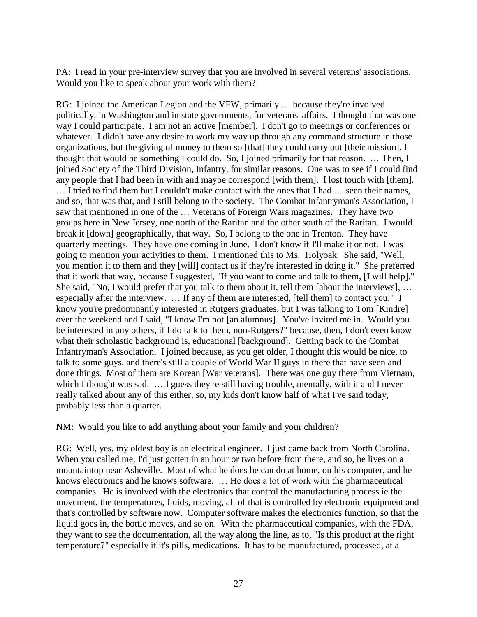PA: I read in your pre-interview survey that you are involved in several veterans' associations. Would you like to speak about your work with them?

RG: I joined the American Legion and the VFW, primarily … because they're involved politically, in Washington and in state governments, for veterans' affairs. I thought that was one way I could participate. I am not an active [member]. I don't go to meetings or conferences or whatever. I didn't have any desire to work my way up through any command structure in those organizations, but the giving of money to them so [that] they could carry out [their mission], I thought that would be something I could do. So, I joined primarily for that reason. … Then, I joined Society of the Third Division, Infantry, for similar reasons. One was to see if I could find any people that I had been in with and maybe correspond [with them]. I lost touch with [them].

… I tried to find them but I couldn't make contact with the ones that I had … seen their names, and so, that was that, and I still belong to the society. The Combat Infantryman's Association, I saw that mentioned in one of the … Veterans of Foreign Wars magazines. They have two groups here in New Jersey, one north of the Raritan and the other south of the Raritan. I would break it [down] geographically, that way. So, I belong to the one in Trenton. They have quarterly meetings. They have one coming in June. I don't know if I'll make it or not. I was going to mention your activities to them. I mentioned this to Ms. Holyoak. She said, "Well, you mention it to them and they [will] contact us if they're interested in doing it." She preferred that it work that way, because I suggested, "If you want to come and talk to them, [I will help]." She said, "No, I would prefer that you talk to them about it, tell them [about the interviews], … especially after the interview. … If any of them are interested, [tell them] to contact you." I know you're predominantly interested in Rutgers graduates, but I was talking to Tom [Kindre] over the weekend and I said, "I know I'm not [an alumnus]. You've invited me in. Would you be interested in any others, if I do talk to them, non-Rutgers?" because, then, I don't even know what their scholastic background is, educational [background]. Getting back to the Combat Infantryman's Association. I joined because, as you get older, I thought this would be nice, to talk to some guys, and there's still a couple of World War II guys in there that have seen and done things. Most of them are Korean [War veterans]. There was one guy there from Vietnam, which I thought was sad. ... I guess they're still having trouble, mentally, with it and I never really talked about any of this either, so, my kids don't know half of what I've said today, probably less than a quarter.

NM: Would you like to add anything about your family and your children?

RG: Well, yes, my oldest boy is an electrical engineer. I just came back from North Carolina. When you called me, I'd just gotten in an hour or two before from there, and so, he lives on a mountaintop near Asheville. Most of what he does he can do at home, on his computer, and he knows electronics and he knows software. … He does a lot of work with the pharmaceutical companies. He is involved with the electronics that control the manufacturing process ie the movement, the temperatures, fluids, moving, all of that is controlled by electronic equipment and that's controlled by software now. Computer software makes the electronics function, so that the liquid goes in, the bottle moves, and so on. With the pharmaceutical companies, with the FDA, they want to see the documentation, all the way along the line, as to, "Is this product at the right temperature?" especially if it's pills, medications. It has to be manufactured, processed, at a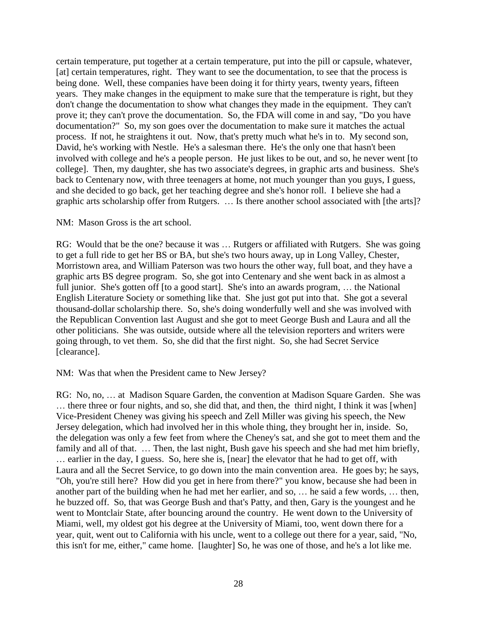certain temperature, put together at a certain temperature, put into the pill or capsule, whatever, [at] certain temperatures, right. They want to see the documentation, to see that the process is being done. Well, these companies have been doing it for thirty years, twenty years, fifteen years. They make changes in the equipment to make sure that the temperature is right, but they don't change the documentation to show what changes they made in the equipment. They can't prove it; they can't prove the documentation. So, the FDA will come in and say, "Do you have documentation?" So, my son goes over the documentation to make sure it matches the actual process. If not, he straightens it out. Now, that's pretty much what he's in to. My second son, David, he's working with Nestle. He's a salesman there. He's the only one that hasn't been involved with college and he's a people person. He just likes to be out, and so, he never went [to college]. Then, my daughter, she has two associate's degrees, in graphic arts and business. She's back to Centenary now, with three teenagers at home, not much younger than you guys, I guess, and she decided to go back, get her teaching degree and she's honor roll. I believe she had a graphic arts scholarship offer from Rutgers. … Is there another school associated with [the arts]?

### NM: Mason Gross is the art school.

RG: Would that be the one? because it was … Rutgers or affiliated with Rutgers. She was going to get a full ride to get her BS or BA, but she's two hours away, up in Long Valley, Chester, Morristown area, and William Paterson was two hours the other way, full boat, and they have a graphic arts BS degree program. So, she got into Centenary and she went back in as almost a full junior. She's gotten off [to a good start]. She's into an awards program, ... the National English Literature Society or something like that. She just got put into that. She got a several thousand-dollar scholarship there. So, she's doing wonderfully well and she was involved with the Republican Convention last August and she got to meet George Bush and Laura and all the other politicians. She was outside, outside where all the television reporters and writers were going through, to vet them. So, she did that the first night. So, she had Secret Service [clearance].

### NM: Was that when the President came to New Jersey?

RG: No, no, … at Madison Square Garden, the convention at Madison Square Garden. She was … there three or four nights, and so, she did that, and then, the third night, I think it was [when] Vice-President Cheney was giving his speech and Zell Miller was giving his speech, the New Jersey delegation, which had involved her in this whole thing, they brought her in, inside. So, the delegation was only a few feet from where the Cheney's sat, and she got to meet them and the family and all of that. ... Then, the last night, Bush gave his speech and she had met him briefly, … earlier in the day, I guess. So, here she is, [near] the elevator that he had to get off, with Laura and all the Secret Service, to go down into the main convention area. He goes by; he says, "Oh, you're still here? How did you get in here from there?" you know, because she had been in another part of the building when he had met her earlier, and so, … he said a few words, … then, he buzzed off. So, that was George Bush and that's Patty, and then, Gary is the youngest and he went to Montclair State, after bouncing around the country. He went down to the University of Miami, well, my oldest got his degree at the University of Miami, too, went down there for a year, quit, went out to California with his uncle, went to a college out there for a year, said, "No, this isn't for me, either," came home. [laughter] So, he was one of those, and he's a lot like me.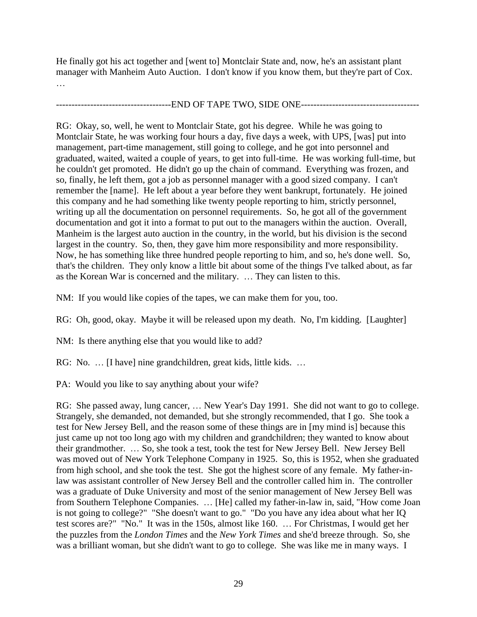He finally got his act together and [went to] Montclair State and, now, he's an assistant plant manager with Manheim Auto Auction. I don't know if you know them, but they're part of Cox. …

# ----------------------------END OF TAPE TWO, SIDE ONE----------------------------------

RG: Okay, so, well, he went to Montclair State, got his degree. While he was going to Montclair State, he was working four hours a day, five days a week, with UPS, [was] put into management, part-time management, still going to college, and he got into personnel and graduated, waited, waited a couple of years, to get into full-time. He was working full-time, but he couldn't get promoted. He didn't go up the chain of command. Everything was frozen, and so, finally, he left them, got a job as personnel manager with a good sized company. I can't remember the [name]. He left about a year before they went bankrupt, fortunately. He joined this company and he had something like twenty people reporting to him, strictly personnel, writing up all the documentation on personnel requirements. So, he got all of the government documentation and got it into a format to put out to the managers within the auction. Overall, Manheim is the largest auto auction in the country, in the world, but his division is the second largest in the country. So, then, they gave him more responsibility and more responsibility. Now, he has something like three hundred people reporting to him, and so, he's done well. So, that's the children. They only know a little bit about some of the things I've talked about, as far as the Korean War is concerned and the military. … They can listen to this.

NM: If you would like copies of the tapes, we can make them for you, too.

RG: Oh, good, okay. Maybe it will be released upon my death. No, I'm kidding. [Laughter]

NM: Is there anything else that you would like to add?

RG: No. … [I have] nine grandchildren, great kids, little kids. …

PA: Would you like to say anything about your wife?

RG: She passed away, lung cancer, … New Year's Day 1991. She did not want to go to college. Strangely, she demanded, not demanded, but she strongly recommended, that I go. She took a test for New Jersey Bell, and the reason some of these things are in [my mind is] because this just came up not too long ago with my children and grandchildren; they wanted to know about their grandmother. … So, she took a test, took the test for New Jersey Bell. New Jersey Bell was moved out of New York Telephone Company in 1925. So, this is 1952, when she graduated from high school, and she took the test. She got the highest score of any female. My father-inlaw was assistant controller of New Jersey Bell and the controller called him in. The controller was a graduate of Duke University and most of the senior management of New Jersey Bell was from Southern Telephone Companies. … [He] called my father-in-law in, said, "How come Joan is not going to college?" "She doesn't want to go." "Do you have any idea about what her IQ test scores are?" "No." It was in the 150s, almost like 160. … For Christmas, I would get her the puzzles from the *London Times* and the *New York Times* and she'd breeze through. So, she was a brilliant woman, but she didn't want to go to college. She was like me in many ways. I